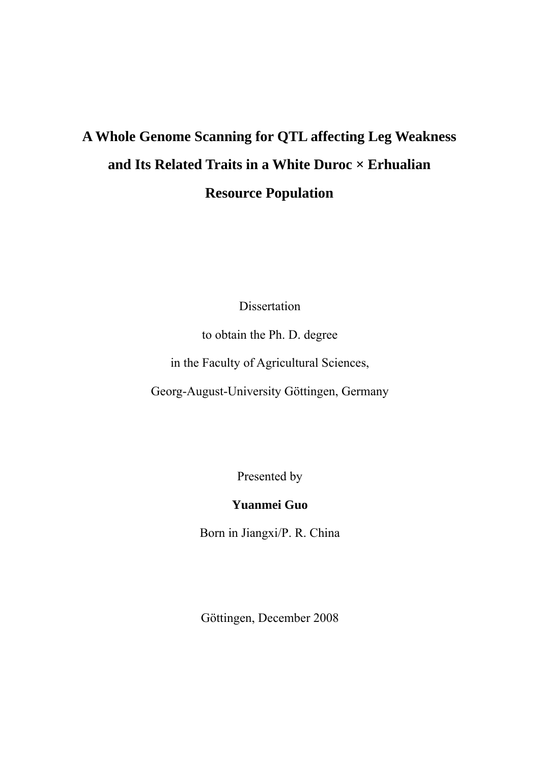# <span id="page-0-0"></span>**A Whole Genome Scanning for QTL affecting Leg Weakness and Its Related Traits in a White Duroc × Erhualian Resource Population**

Dissertation

to obtain the Ph. D. degree

in the Faculty of Agricultural Sciences,

Georg-August-University Göttingen, Germany

Presented by

# **Yuanmei Guo**

Born in Jiangxi/P. R. China

Göttingen, December 2008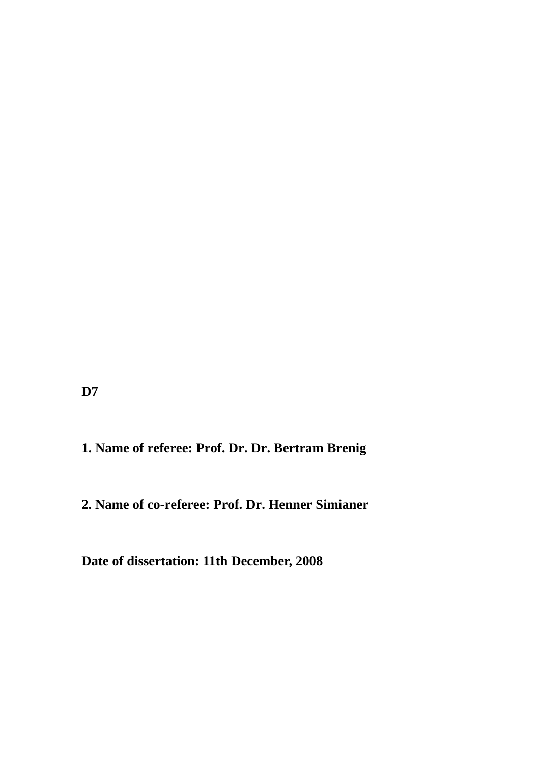**D7** 

# **1. Name of referee: Prof. Dr. Dr. Bertram Brenig**

# **2. Name of co-referee: Prof. Dr. Henner Simianer**

**Date of dissertation: 11th December, 2008**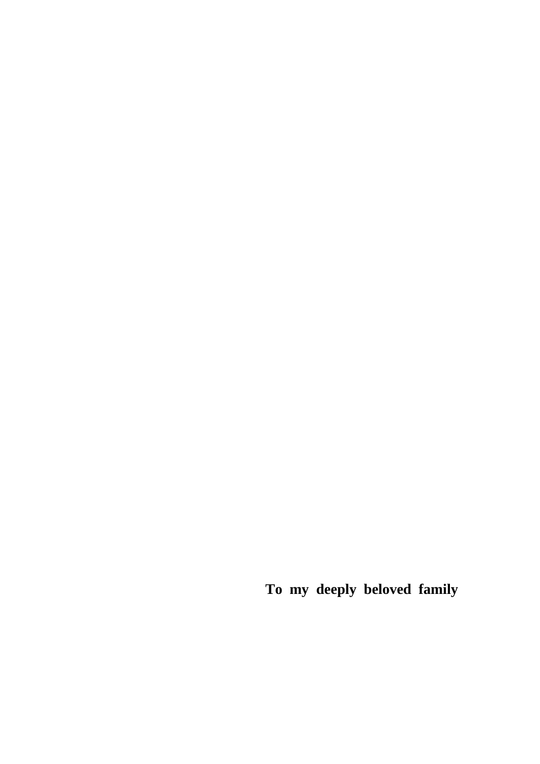**To my deeply beloved family**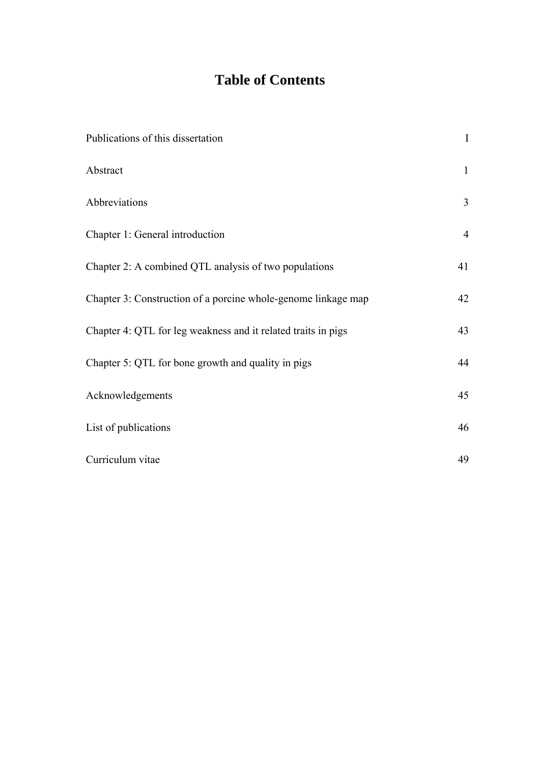# **Table of Contents**

| Publications of this dissertation                             | $\bf I$        |
|---------------------------------------------------------------|----------------|
| Abstract                                                      | $\mathbf{1}$   |
| Abbreviations                                                 | $\overline{3}$ |
| Chapter 1: General introduction                               | $\overline{4}$ |
| Chapter 2: A combined QTL analysis of two populations         | 41             |
| Chapter 3: Construction of a porcine whole-genome linkage map | 42             |
| Chapter 4: QTL for leg weakness and it related traits in pigs | 43             |
| Chapter 5: QTL for bone growth and quality in pigs            | 44             |
| Acknowledgements                                              | 45             |
| List of publications                                          | 46             |
| Curriculum vitae                                              | 49             |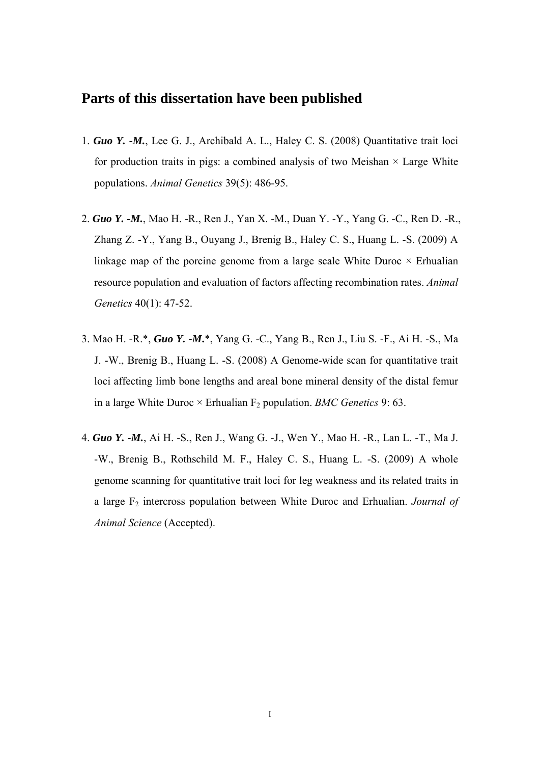## **Parts of this dissertation have been published**

- 1. *Guo Y. -M.*, Lee G. J., Archibald A. L., Haley C. S. (2008) Quantitative trait loci for production traits in pigs: a combined analysis of two Meishan  $\times$  Large White populations. *Animal Genetics* 39(5): 486-95.
- 2. *Guo Y. -M.*, Mao H. -R., Ren J., Yan X. -M., Duan Y. -Y., Yang G. -C., Ren D. -R., Zhang Z. -Y., Yang B., Ouyang J., Brenig B., Haley C. S., Huang L. -S. (2009) A linkage map of the porcine genome from a large scale White Duroc  $\times$  Erhualian resource population and evaluation of factors affecting recombination rates. *Animal Genetics* 40(1): 47-52.
- 3. Mao H. -R.\*, *Guo Y. -M***.**\*, Yang G. -C., Yang B., Ren J., Liu S. -F., Ai H. -S., Ma J. -W., Brenig B., Huang L. -S. (2008) A Genome-wide scan for quantitative trait loci affecting limb bone lengths and areal bone mineral density of the distal femur in a large White Duroc  $\times$  Erhualian F<sub>2</sub> population. *BMC Genetics* 9: 63.
- 4. *Guo Y. -M.*, Ai H. -S., Ren J., Wang G. -J., Wen Y., Mao H. -R., Lan L. -T., Ma J. -W., Brenig B., Rothschild M. F., Haley C. S., Huang L. -S. (2009) A whole genome scanning for quantitative trait loci for leg weakness and its related traits in a large F2 intercross population between White Duroc and Erhualian. *Journal of Animal Science* (Accepted).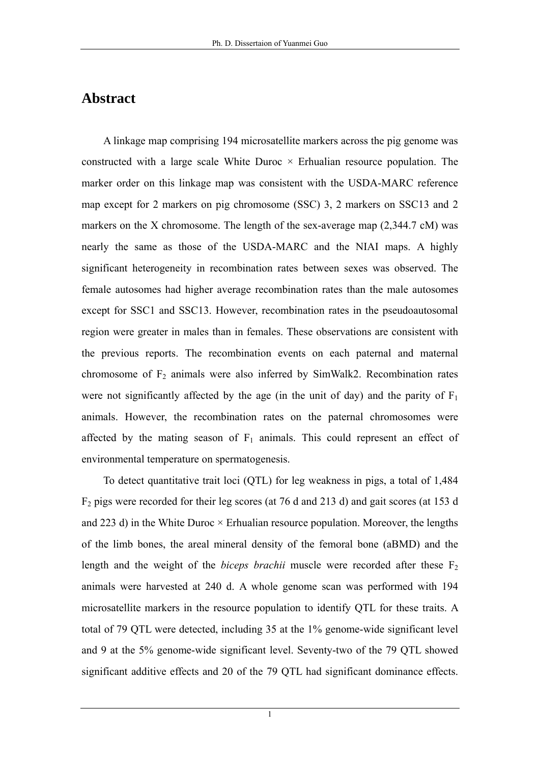## **Abstract**

A linkage map comprising 194 microsatellite markers across the pig genome was constructed with a large scale White Duroc  $\times$  Erhualian resource population. The marker order on this linkage map was consistent with the USDA-MARC reference map except for 2 markers on pig chromosome (SSC) 3, 2 markers on SSC13 and 2 markers on the X chromosome. The length of the sex-average map (2,344.7 cM) was nearly the same as those of the USDA-MARC and the NIAI maps. A highly significant heterogeneity in recombination rates between sexes was observed. The female autosomes had higher average recombination rates than the male autosomes except for SSC1 and SSC13. However, recombination rates in the pseudoautosomal region were greater in males than in females. These observations are consistent with the previous reports. The recombination events on each paternal and maternal chromosome of  $F_2$  animals were also inferred by SimWalk2. Recombination rates were not significantly affected by the age (in the unit of day) and the parity of  $F_1$ animals. However, the recombination rates on the paternal chromosomes were affected by the mating season of  $F_1$  animals. This could represent an effect of environmental temperature on spermatogenesis.

To detect quantitative trait loci (QTL) for leg weakness in pigs, a total of 1,484  $F<sub>2</sub>$  pigs were recorded for their leg scores (at 76 d and 213 d) and gait scores (at 153 d) and 223 d) in the White Duroc  $\times$  Erhualian resource population. Moreover, the lengths of the limb bones, the areal mineral density of the femoral bone (aBMD) and the length and the weight of the *biceps brachii* muscle were recorded after these  $F_2$ animals were harvested at 240 d. A whole genome scan was performed with 194 microsatellite markers in the resource population to identify QTL for these traits. A total of 79 QTL were detected, including 35 at the 1% genome-wide significant level and 9 at the 5% genome-wide significant level. Seventy-two of the 79 QTL showed significant additive effects and 20 of the 79 QTL had significant dominance effects.

1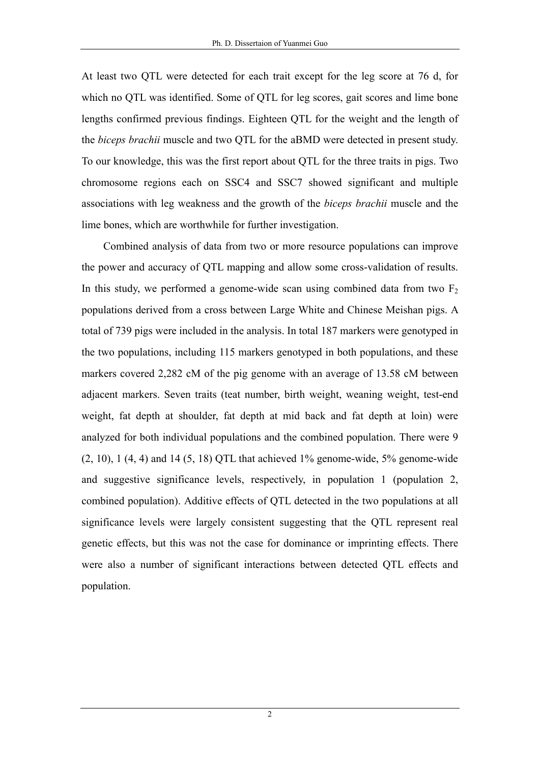At least two QTL were detected for each trait except for the leg score at 76 d, for which no QTL was identified. Some of QTL for leg scores, gait scores and lime bone lengths confirmed previous findings. Eighteen QTL for the weight and the length of the *biceps brachii* muscle and two QTL for the aBMD were detected in present study. To our knowledge, this was the first report about QTL for the three traits in pigs. Two chromosome regions each on SSC4 and SSC7 showed significant and multiple associations with leg weakness and the growth of the *biceps brachii* muscle and the lime bones, which are worthwhile for further investigation.

Combined analysis of data from two or more resource populations can improve the power and accuracy of QTL mapping and allow some cross-validation of results. In this study, we performed a genome-wide scan using combined data from two  $F_2$ populations derived from a cross between Large White and Chinese Meishan pigs. A total of 739 pigs were included in the analysis. In total 187 markers were genotyped in the two populations, including 115 markers genotyped in both populations, and these markers covered 2,282 cM of the pig genome with an average of 13.58 cM between adjacent markers. Seven traits (teat number, birth weight, weaning weight, test-end weight, fat depth at shoulder, fat depth at mid back and fat depth at loin) were analyzed for both individual populations and the combined population. There were 9  $(2, 10)$ ,  $(4, 4)$  and  $(5, 18)$  QTL that achieved  $1\%$  genome-wide,  $5\%$  genome-wide and suggestive significance levels, respectively, in population 1 (population 2, combined population). Additive effects of QTL detected in the two populations at all significance levels were largely consistent suggesting that the QTL represent real genetic effects, but this was not the case for dominance or imprinting effects. There were also a number of significant interactions between detected QTL effects and population.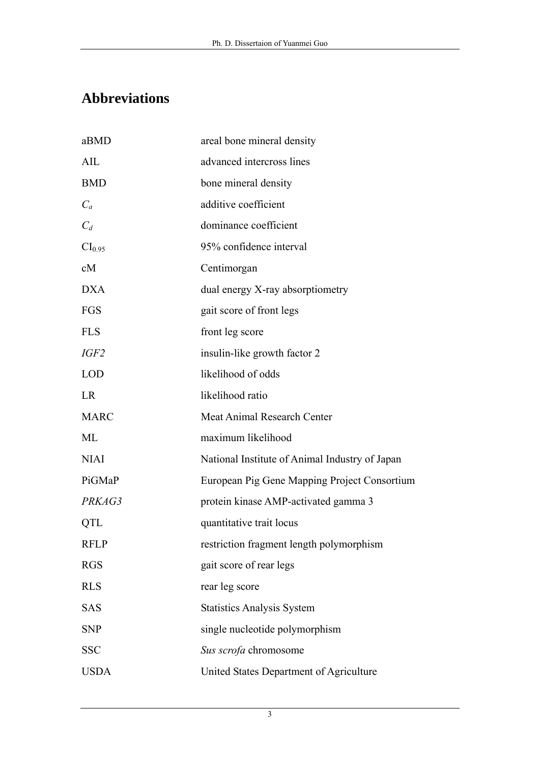# **Abbreviations**

| aBMD               | areal bone mineral density                     |
|--------------------|------------------------------------------------|
| AIL                | advanced intercross lines                      |
| <b>BMD</b>         | bone mineral density                           |
| $C_a$              | additive coefficient                           |
| $C_d$              | dominance coefficient                          |
| CI <sub>0.95</sub> | 95% confidence interval                        |
| cM                 | Centimorgan                                    |
| <b>DXA</b>         | dual energy X-ray absorptiometry               |
| FGS                | gait score of front legs                       |
| <b>FLS</b>         | front leg score                                |
| IGF <sub>2</sub>   | insulin-like growth factor 2                   |
| <b>LOD</b>         | likelihood of odds                             |
| LR                 | likelihood ratio                               |
| <b>MARC</b>        | Meat Animal Research Center                    |
| ML                 | maximum likelihood                             |
| <b>NIAI</b>        | National Institute of Animal Industry of Japan |
| PiGMaP             | European Pig Gene Mapping Project Consortium   |
| PRKAG3             | protein kinase AMP-activated gamma 3           |
| QTL                | quantitative trait locus                       |
| <b>RFLP</b>        | restriction fragment length polymorphism       |
| <b>RGS</b>         | gait score of rear legs                        |
| <b>RLS</b>         | rear leg score                                 |
| <b>SAS</b>         | <b>Statistics Analysis System</b>              |
| <b>SNP</b>         | single nucleotide polymorphism                 |
| <b>SSC</b>         | Sus scrofa chromosome                          |
| <b>USDA</b>        | United States Department of Agriculture        |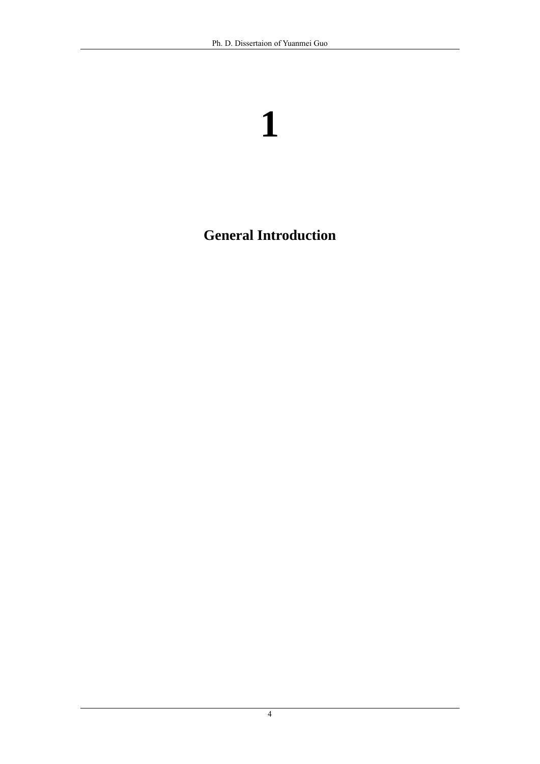# **General Introduction**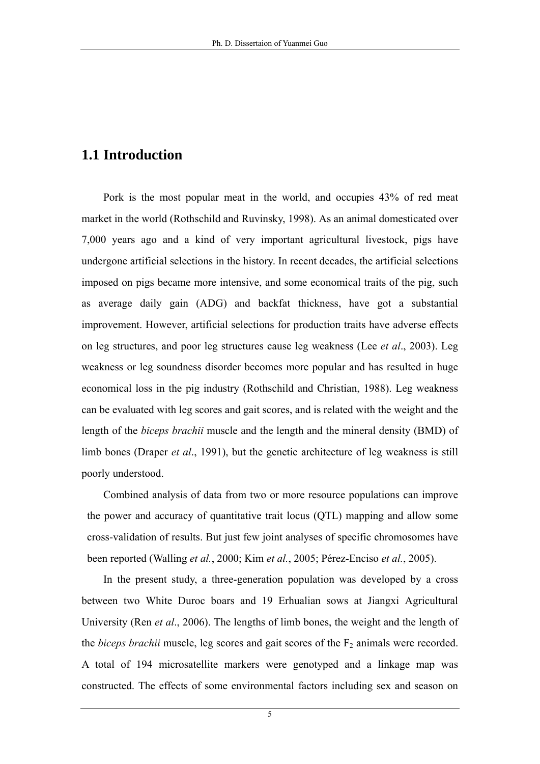# **1.1 Introduction**

Pork is the most popular meat in the world, and occupies 43% of red meat market in the world (Rothschild and Ruvinsky, 1998). As an animal domesticated over 7,000 years ago and a kind of very important agricultural livestock, pigs have undergone artificial selections in the history. In recent decades, the artificial selections imposed on pigs became more intensive, and some economical traits of the pig, such as average daily gain (ADG) and backfat thickness, have got a substantial improvement. However, artificial selections for production traits have adverse effects on leg structures, and poor leg structures cause leg weakness (Lee *et al*., 2003). Leg weakness or leg soundness disorder becomes more popular and has resulted in huge economical loss in the pig industry (Rothschild and Christian, 1988). Leg weakness can be evaluated with leg scores and gait scores, and is related with the weight and the length of the *biceps brachii* muscle and the length and the mineral density (BMD) of limb bones (Draper *et al*., 1991), but the genetic architecture of leg weakness is still poorly understood.

Combined analysis of data from two or more resource populations can improve the power and accuracy of quantitative trait locus (QTL) mapping and allow some cross-validation of results. But just few joint analyses of specific chromosomes have been reported (Walling *et al.*, 2000; Kim *et al.*, 2005; Pérez-Enciso *et al.*, 2005).

In the present study, a three-generation population was developed by a cross between two White Duroc boars and 19 Erhualian sows at Jiangxi Agricultural University (Ren *et al*., 2006). The lengths of limb bones, the weight and the length of the *biceps brachii* muscle, leg scores and gait scores of the  $F_2$  animals were recorded. A total of 194 microsatellite markers were genotyped and a linkage map was constructed. The effects of some environmental factors including sex and season on

5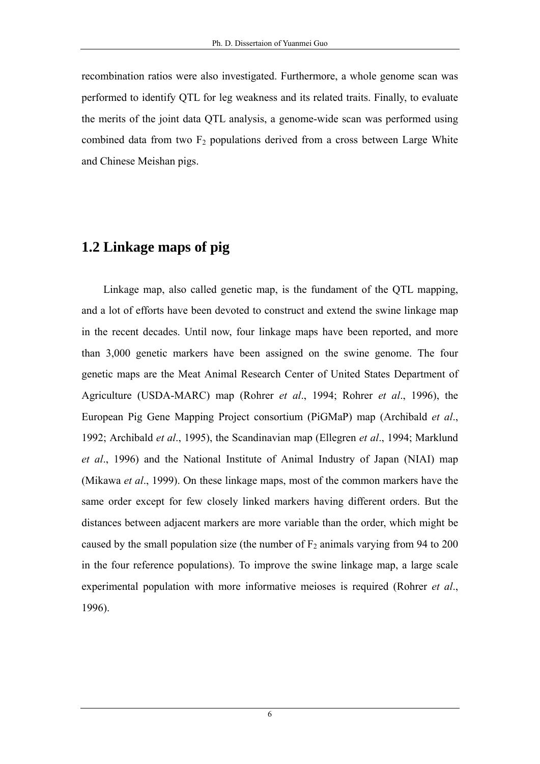recombination ratios were also investigated. Furthermore, a whole genome scan was performed to identify QTL for leg weakness and its related traits. Finally, to evaluate the merits of the joint data QTL analysis, a genome-wide scan was performed using combined data from two  $F_2$  populations derived from a cross between Large White and Chinese Meishan pigs.

# **1.2 Linkage maps of pig**

Linkage map, also called genetic map, is the fundament of the QTL mapping, and a lot of efforts have been devoted to construct and extend the swine linkage map in the recent decades. Until now, four linkage maps have been reported, and more than 3,000 genetic markers have been assigned on the swine genome. The four genetic maps are the Meat Animal Research Center of United States Department of Agriculture (USDA-MARC) map (Rohrer *et al*., 1994; Rohrer *et al*., 1996), the European Pig Gene Mapping Project consortium (PiGMaP) map (Archibald *et al*., 1992; Archibald *et al*., 1995), the Scandinavian map (Ellegren *et al*., 1994; Marklund *et al*., 1996) and the National Institute of Animal Industry of Japan (NIAI) map (Mikawa *et al*., 1999). On these linkage maps, most of the common markers have the same order except for few closely linked markers having different orders. But the distances between adjacent markers are more variable than the order, which might be caused by the small population size (the number of  $F_2$  animals varying from 94 to 200 in the four reference populations). To improve the swine linkage map, a large scale experimental population with more informative meioses is required (Rohrer *et al*., 1996).

6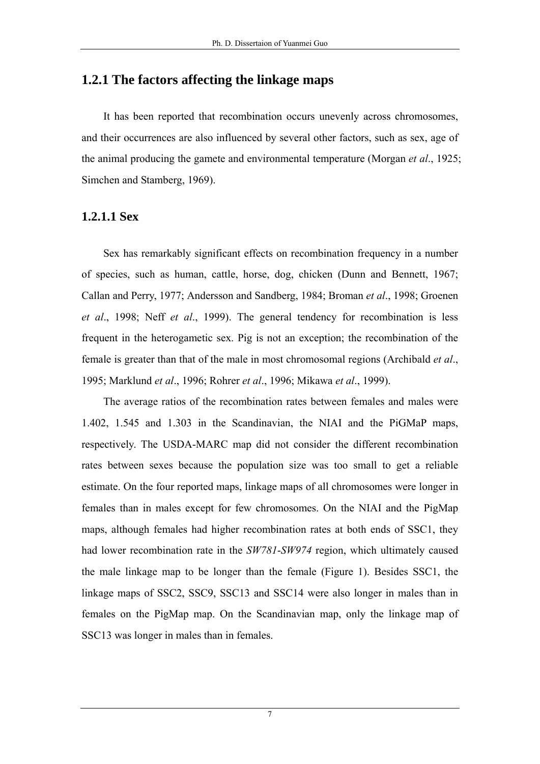## **1.2.1 The factors affecting the linkage maps**

It has been reported that recombination occurs unevenly across chromosomes, and their occurrences are also influenced by several other factors, such as sex, age of the animal producing the gamete and environmental temperature (Morgan *et al*., 1925; Simchen and Stamberg, 1969).

#### **1.2.1.1 Sex**

Sex has remarkably significant effects on recombination frequency in a number of species, such as human, cattle, horse, dog, chicken (Dunn and Bennett, 1967; Callan and Perry, 1977; Andersson and Sandberg, 1984; Broman *et al*., 1998; Groenen *et al*., 1998; Neff *et al*., 1999). The general tendency for recombination is less frequent in the heterogametic sex. Pig is not an exception; the recombination of the female is greater than that of the male in most chromosomal regions (Archibald *et al*., 1995; Marklund *et al*., 1996; Rohrer *et al*., 1996; Mikawa *et al*., 1999).

The average ratios of the recombination rates between females and males were 1.402, 1.545 and 1.303 in the Scandinavian, the NIAI and the PiGMaP maps, respectively. The USDA-MARC map did not consider the different recombination rates between sexes because the population size was too small to get a reliable estimate. On the four reported maps, linkage maps of all chromosomes were longer in females than in males except for few chromosomes. On the NIAI and the PigMap maps, although females had higher recombination rates at both ends of SSC1, they had lower recombination rate in the *SW781*-*SW974* region, which ultimately caused the male linkage map to be longer than the female (Figure 1). Besides SSC1, the linkage maps of SSC2, SSC9, SSC13 and SSC14 were also longer in males than in females on the PigMap map. On the Scandinavian map, only the linkage map of SSC13 was longer in males than in females.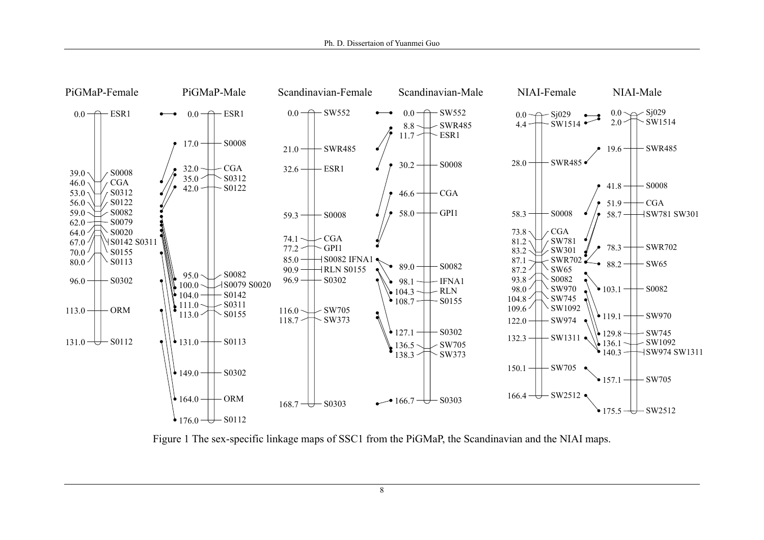

Figure 1 The sex-specific linkage maps of SSC1 from the PiGMaP, the Scandinavian and the NIAI maps.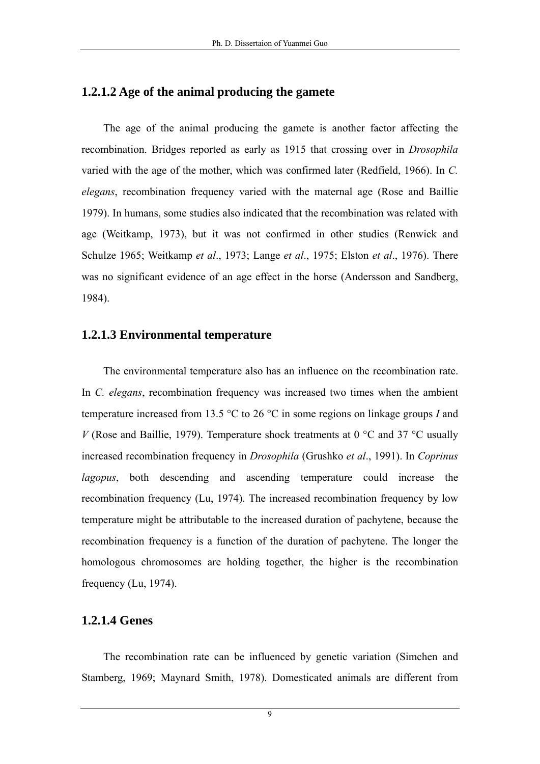#### **1.2.1.2 Age of the animal producing the gamete**

The age of the animal producing the gamete is another factor affecting the recombination. Bridges reported as early as 1915 that crossing over in *Drosophila* varied with the age of the mother, which was confirmed later (Redfield, 1966). In *C. elegans*, recombination frequency varied with the maternal age (Rose and Baillie 1979). In humans, some studies also indicated that the recombination was related with age (Weitkamp, 1973), but it was not confirmed in other studies (Renwick and Schulze 1965; Weitkamp *et al*., 1973; Lange *et al*., 1975; Elston *et al*., 1976). There was no significant evidence of an age effect in the horse (Andersson and Sandberg, 1984).

#### **1.2.1.3 Environmental temperature**

The environmental temperature also has an influence on the recombination rate. In *C. elegans*, recombination frequency was increased two times when the ambient temperature increased from 13.5 °C to 26 °C in some regions on linkage groups *I* and *V* (Rose and Baillie, 1979). Temperature shock treatments at 0  $\degree$ C and 37  $\degree$ C usually increased recombination frequency in *Drosophila* (Grushko *et al*., 1991). In *Coprinus lagopus*, both descending and ascending temperature could increase the recombination frequency (Lu, 1974). The increased recombination frequency by low temperature might be attributable to the increased duration of pachytene, because the recombination frequency is a function of the duration of pachytene. The longer the homologous chromosomes are holding together, the higher is the recombination frequency (Lu, 1974).

#### **1.2.1.4 Genes**

The recombination rate can be influenced by genetic variation (Simchen and Stamberg, 1969; Maynard Smith, 1978). Domesticated animals are different from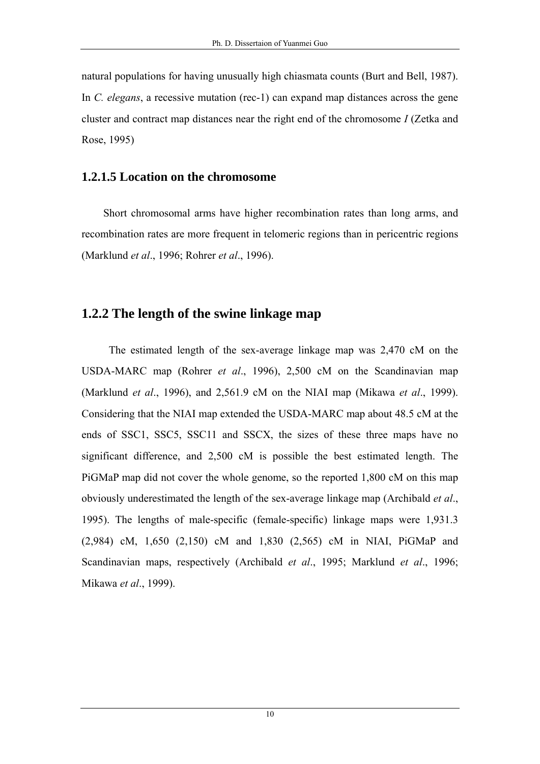natural populations for having unusually high chiasmata counts (Burt and Bell, 1987). In *C. elegans*, a recessive mutation (rec-1) can expand map distances across the gene cluster and contract map distances near the right end of the chromosome *I* (Zetka and Rose, 1995)

## **1.2.1.5 Location on the chromosome**

Short chromosomal arms have higher recombination rates than long arms, and recombination rates are more frequent in telomeric regions than in pericentric regions (Marklund *et al*., 1996; Rohrer *et al*., 1996).

# **1.2.2 The length of the swine linkage map**

The estimated length of the sex-average linkage map was 2,470 cM on the USDA-MARC map (Rohrer *et al*., 1996), 2,500 cM on the Scandinavian map (Marklund *et al*., 1996), and 2,561.9 cM on the NIAI map (Mikawa *et al*., 1999). Considering that the NIAI map extended the USDA-MARC map about 48.5 cM at the ends of SSC1, SSC5, SSC11 and SSCX, the sizes of these three maps have no significant difference, and 2,500 cM is possible the best estimated length. The PiGMaP map did not cover the whole genome, so the reported 1,800 cM on this map obviously underestimated the length of the sex-average linkage map (Archibald *et al*., 1995). The lengths of male-specific (female-specific) linkage maps were 1,931.3 (2,984) cM, 1,650 (2,150) cM and 1,830 (2,565) cM in NIAI, PiGMaP and Scandinavian maps, respectively (Archibald *et al*., 1995; Marklund *et al*., 1996; Mikawa *et al*., 1999).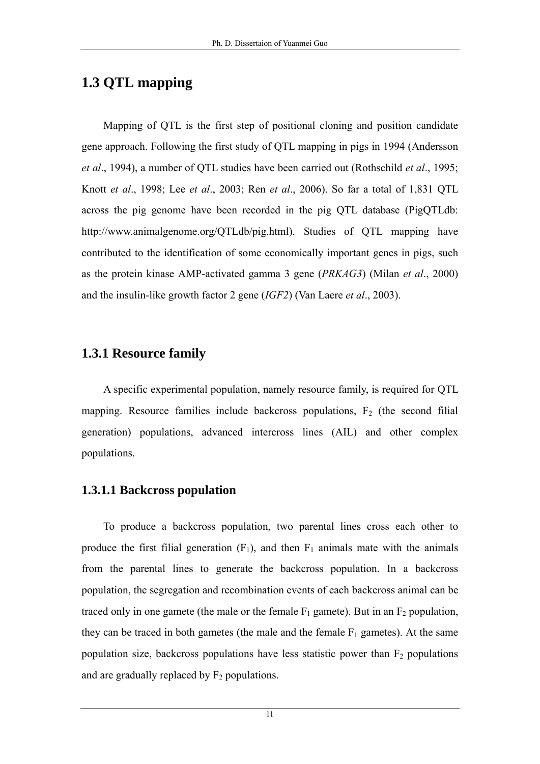# **1.3 QTL mapping**

Mapping of QTL is the first step of positional cloning and position candidate gene approach. Following the first study of QTL mapping in pigs in 1994 (Andersson *et al*., 1994), a number of QTL studies have been carried out (Rothschild *et al*., 1995; Knott *et al*., 1998; Lee *et al*., 2003; Ren *et al*., 2006). So far a total of 1,831 QTL across the pig genome have been recorded in the pig QTL database (PigQTLdb: http://www.animalgenome.org/QTLdb/pig.html). Studies of QTL mapping have contributed to the identification of some economically important genes in pigs, such as the protein kinase AMP-activated gamma 3 gene (*PRKAG3*) (Milan *et al*., 2000) and the insulin-like growth factor 2 gene (*IGF2*) (Van Laere *et al*., 2003).

# **1.3.1 Resource family**

A specific experimental population, namely resource family, is required for QTL mapping. Resource families include backcross populations,  $F_2$  (the second filial generation) populations, advanced intercross lines (AIL) and other complex populations.

#### **1.3.1.1 Backcross population**

To produce a backcross population, two parental lines cross each other to produce the first filial generation  $(F_1)$ , and then  $F_1$  animals mate with the animals from the parental lines to generate the backcross population. In a backcross population, the segregation and recombination events of each backcross animal can be traced only in one gamete (the male or the female  $F_1$  gamete). But in an  $F_2$  population, they can be traced in both gametes (the male and the female  $F_1$  gametes). At the same population size, backcross populations have less statistic power than  $F_2$  populations and are gradually replaced by  $F_2$  populations.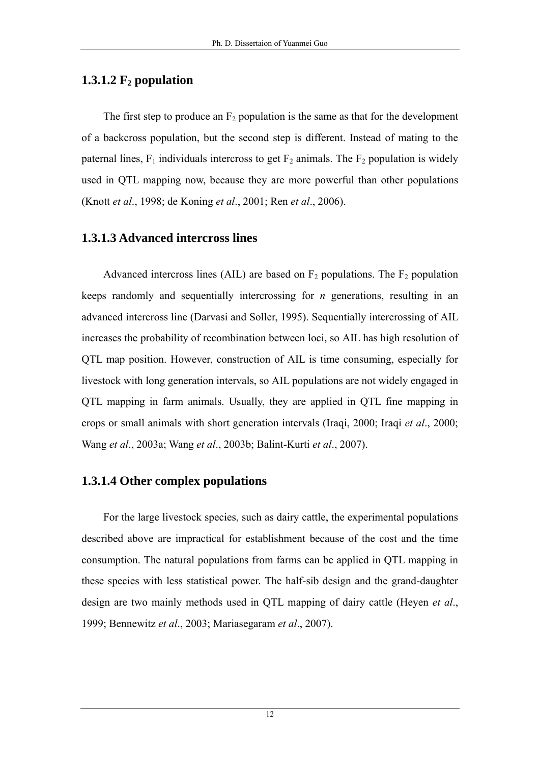# 1.3.1.2  $F_2$  population

The first step to produce an  $F_2$  population is the same as that for the development of a backcross population, but the second step is different. Instead of mating to the paternal lines,  $F_1$  individuals intercross to get  $F_2$  animals. The  $F_2$  population is widely used in QTL mapping now, because they are more powerful than other populations (Knott *et al*., 1998; de Koning *et al*., 2001; Ren *et al*., 2006).

# **1.3.1.3 Advanced intercross lines**

Advanced intercross lines (AIL) are based on  $F_2$  populations. The  $F_2$  population keeps randomly and sequentially intercrossing for *n* generations, resulting in an advanced intercross line (Darvasi and Soller, 1995). Sequentially intercrossing of AIL increases the probability of recombination between loci, so AIL has high resolution of QTL map position. However, construction of AIL is time consuming, especially for livestock with long generation intervals, so AIL populations are not widely engaged in QTL mapping in farm animals. Usually, they are applied in QTL fine mapping in crops or small animals with short generation intervals (Iraqi, 2000; Iraqi *et al*., 2000; Wang *et al*., 2003a; Wang *et al*., 2003b; Balint-Kurti *et al*., 2007).

## **1.3.1.4 Other complex populations**

For the large livestock species, such as dairy cattle, the experimental populations described above are impractical for establishment because of the cost and the time consumption. The natural populations from farms can be applied in QTL mapping in these species with less statistical power. The half-sib design and the grand-daughter design are two mainly methods used in QTL mapping of dairy cattle (Heyen *et al*., 1999; Bennewitz *et al*., 2003; Mariasegaram *et al*., 2007).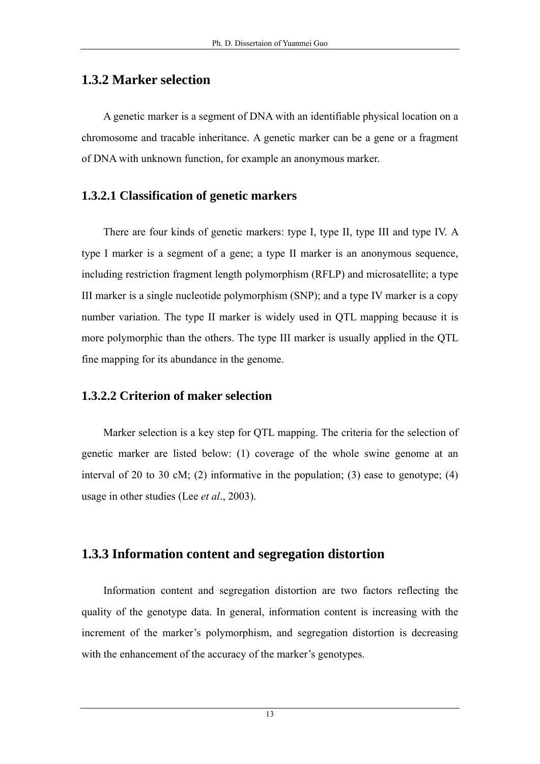# **1.3.2 Marker selection**

A genetic marker is a segment of DNA with an identifiable physical location on a chromosome and tracable inheritance. A genetic marker can be a gene or a fragment of DNA with unknown function, for example an anonymous marker.

## **1.3.2.1 Classification of genetic markers**

There are four kinds of genetic markers: type I, type II, type III and type IV. A type I marker is a segment of a gene; a type II marker is an anonymous sequence, including restriction fragment length polymorphism (RFLP) and microsatellite; a type III marker is a single nucleotide polymorphism (SNP); and a type IV marker is a copy number variation. The type II marker is widely used in QTL mapping because it is more polymorphic than the others. The type III marker is usually applied in the QTL fine mapping for its abundance in the genome.

## **1.3.2.2 Criterion of maker selection**

Marker selection is a key step for QTL mapping. The criteria for the selection of genetic marker are listed below: (1) coverage of the whole swine genome at an interval of 20 to 30 cM; (2) informative in the population; (3) ease to genotype; (4) usage in other studies (Lee *et al*., 2003).

# **1.3.3 Information content and segregation distortion**

Information content and segregation distortion are two factors reflecting the quality of the genotype data. In general, information content is increasing with the increment of the marker's polymorphism, and segregation distortion is decreasing with the enhancement of the accuracy of the marker's genotypes.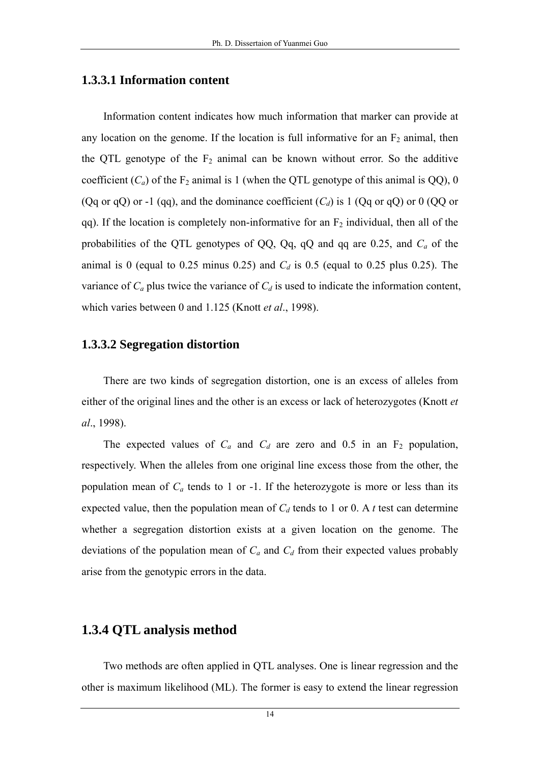#### **1.3.3.1 Information content**

Information content indicates how much information that marker can provide at any location on the genome. If the location is full informative for an  $F_2$  animal, then the QTL genotype of the  $F_2$  animal can be known without error. So the additive coefficient  $(C_a)$  of the  $F_2$  animal is 1 (when the QTL genotype of this animal is QQ), 0 (Qq or qQ) or -1 (qq), and the dominance coefficient  $(C_d)$  is 1 (Qq or qQ) or 0 (QQ or qq). If the location is completely non-informative for an  $F_2$  individual, then all of the probabilities of the QTL genotypes of QQ, Qq, qQ and qq are 0.25, and *Ca* of the animal is 0 (equal to 0.25 minus 0.25) and  $C_d$  is 0.5 (equal to 0.25 plus 0.25). The variance of  $C_a$  plus twice the variance of  $C_d$  is used to indicate the information content, which varies between 0 and 1.125 (Knott *et al*., 1998).

#### **1.3.3.2 Segregation distortion**

There are two kinds of segregation distortion, one is an excess of alleles from either of the original lines and the other is an excess or lack of heterozygotes (Knott *et al*., 1998).

The expected values of  $C_a$  and  $C_d$  are zero and 0.5 in an  $F_2$  population, respectively. When the alleles from one original line excess those from the other, the population mean of  $C_a$  tends to 1 or -1. If the heterozygote is more or less than its expected value, then the population mean of  $C_d$  tends to 1 or 0. A *t* test can determine whether a segregation distortion exists at a given location on the genome. The deviations of the population mean of  $C_a$  and  $C_d$  from their expected values probably arise from the genotypic errors in the data.

#### **1.3.4 QTL analysis method**

Two methods are often applied in QTL analyses. One is linear regression and the other is maximum likelihood (ML). The former is easy to extend the linear regression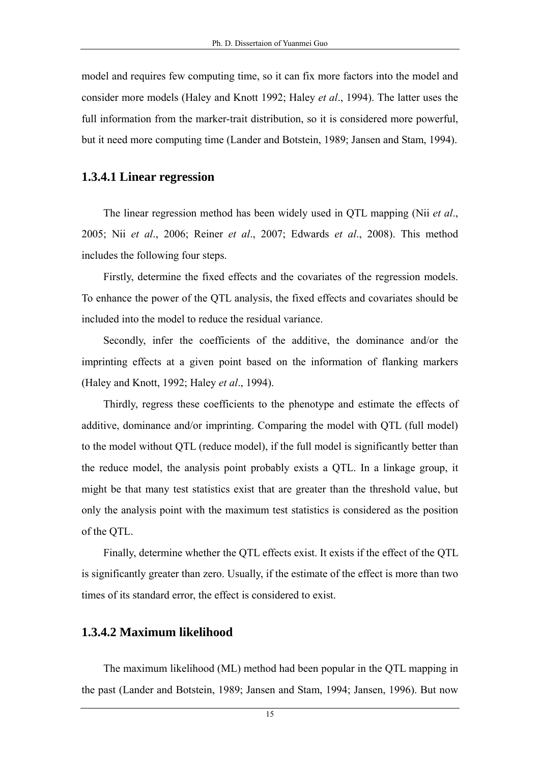model and requires few computing time, so it can fix more factors into the model and consider more models (Haley and Knott 1992; Haley *et al*., 1994). The latter uses the full information from the marker-trait distribution, so it is considered more powerful, but it need more computing time (Lander and Botstein, 1989; Jansen and Stam, 1994).

#### **1.3.4.1 Linear regression**

The linear regression method has been widely used in QTL mapping (Nii *et al*., 2005; Nii *et al*., 2006; Reiner *et al*., 2007; Edwards *et al*., 2008). This method includes the following four steps.

Firstly, determine the fixed effects and the covariates of the regression models. To enhance the power of the QTL analysis, the fixed effects and covariates should be included into the model to reduce the residual variance.

Secondly, infer the coefficients of the additive, the dominance and/or the imprinting effects at a given point based on the information of flanking markers (Haley and Knott, 1992; Haley *et al*., 1994).

Thirdly, regress these coefficients to the phenotype and estimate the effects of additive, dominance and/or imprinting. Comparing the model with QTL (full model) to the model without QTL (reduce model), if the full model is significantly better than the reduce model, the analysis point probably exists a QTL. In a linkage group, it might be that many test statistics exist that are greater than the threshold value, but only the analysis point with the maximum test statistics is considered as the position of the QTL.

Finally, determine whether the QTL effects exist. It exists if the effect of the QTL is significantly greater than zero. Usually, if the estimate of the effect is more than two times of its standard error, the effect is considered to exist.

#### **1.3.4.2 Maximum likelihood**

The maximum likelihood (ML) method had been popular in the QTL mapping in the past (Lander and Botstein, 1989; Jansen and Stam, 1994; Jansen, 1996). But now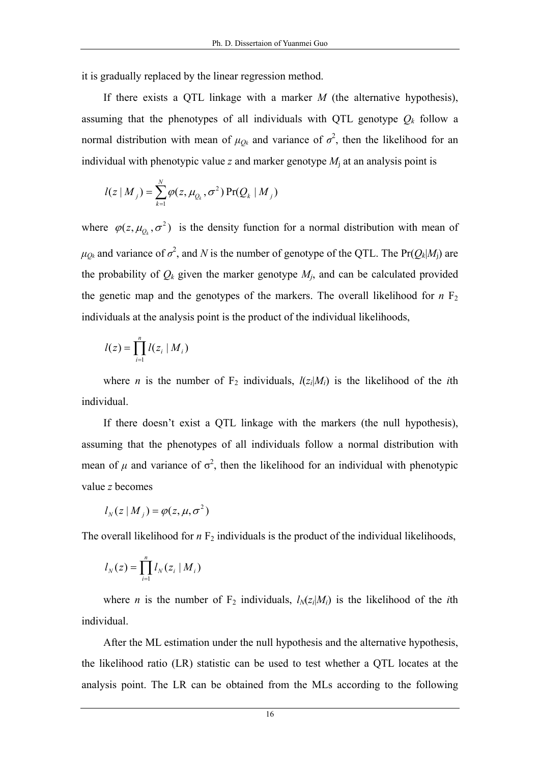it is gradually replaced by the linear regression method.

If there exists a QTL linkage with a marker *M* (the alternative hypothesis), assuming that the phenotypes of all individuals with QTL genotype  $Q_k$  follow a normal distribution with mean of  $\mu_{Q_k}$  and variance of  $\sigma^2$ , then the likelihood for an individual with phenotypic value  $z$  and marker genotype  $M_i$  at an analysis point is

$$
l(z | Mj) = \sum_{k=1}^{N} \varphi(z, \mu_{Q_k}, \sigma^2) \Pr(Q_k | M_j)
$$

where  $\varphi(z, \mu_{Q_k}, \sigma^2)$  is the density function for a normal distribution with mean of  $\mu_{Q_k}$  and variance of  $\sigma^2$ , and *N* is the number of genotype of the QTL. The Pr( $Q_k|M_i$ ) are the probability of  $Q_k$  given the marker genotype  $M_j$ , and can be calculated provided the genetic map and the genotypes of the markers. The overall likelihood for  $n \nvert F_2$ individuals at the analysis point is the product of the individual likelihoods,

$$
l(z) = \prod_{i=1}^n l(z_i \mid M_i)
$$

where *n* is the number of  $F_2$  individuals,  $l(z_i|M_i)$  is the likelihood of the *i*th individual.

If there doesn't exist a QTL linkage with the markers (the null hypothesis), assuming that the phenotypes of all individuals follow a normal distribution with mean of  $\mu$  and variance of  $\sigma^2$ , then the likelihood for an individual with phenotypic value *z* becomes

$$
l_N(z|M_j) = \varphi(z, \mu, \sigma^2)
$$

The overall likelihood for  $n \nabla_2$  individuals is the product of the individual likelihoods,

$$
l_N(z) = \prod_{i=1}^n l_N(z_i \mid M_i)
$$

where *n* is the number of  $F_2$  individuals,  $l_N(z_i|M_i)$  is the likelihood of the *i*th individual.

After the ML estimation under the null hypothesis and the alternative hypothesis, the likelihood ratio (LR) statistic can be used to test whether a QTL locates at the analysis point. The LR can be obtained from the MLs according to the following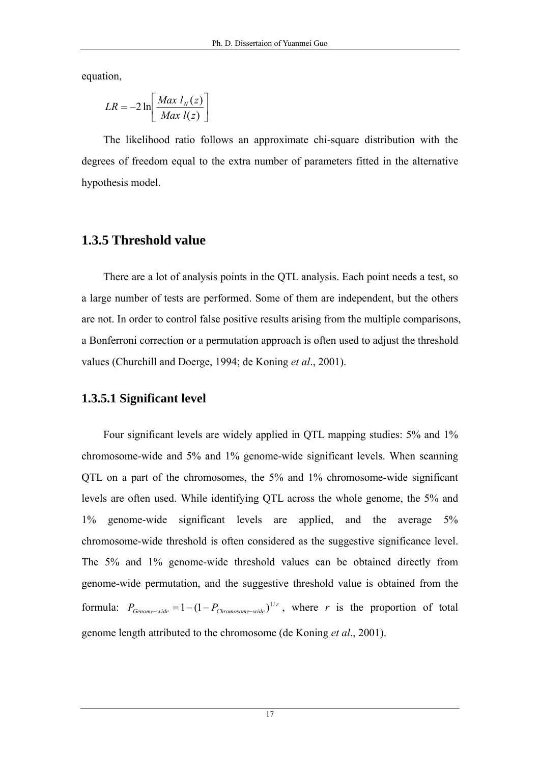equation,

$$
LR = -2 \ln \left[ \frac{Max \ l_N(z)}{Max \ l(z)} \right]
$$

The likelihood ratio follows an approximate chi-square distribution with the degrees of freedom equal to the extra number of parameters fitted in the alternative hypothesis model.

# **1.3.5 Threshold value**

There are a lot of analysis points in the QTL analysis. Each point needs a test, so a large number of tests are performed. Some of them are independent, but the others are not. In order to control false positive results arising from the multiple comparisons, a Bonferroni correction or a permutation approach is often used to adjust the threshold values (Churchill and Doerge, 1994; de Koning *et al*., 2001).

## **1.3.5.1 Significant level**

Four significant levels are widely applied in QTL mapping studies: 5% and 1% chromosome-wide and 5% and 1% genome-wide significant levels. When scanning QTL on a part of the chromosomes, the 5% and 1% chromosome-wide significant levels are often used. While identifying QTL across the whole genome, the 5% and 1% genome-wide significant levels are applied, and the average 5% chromosome-wide threshold is often considered as the suggestive significance level. The 5% and 1% genome-wide threshold values can be obtained directly from genome-wide permutation, and the suggestive threshold value is obtained from the formula:  $P_{Genome-wide} = 1 - (1 - P_{Chromosome-wide})^{1/r}$ , where *r* is the proportion of total genome length attributed to the chromosome (de Koning *et al*., 2001).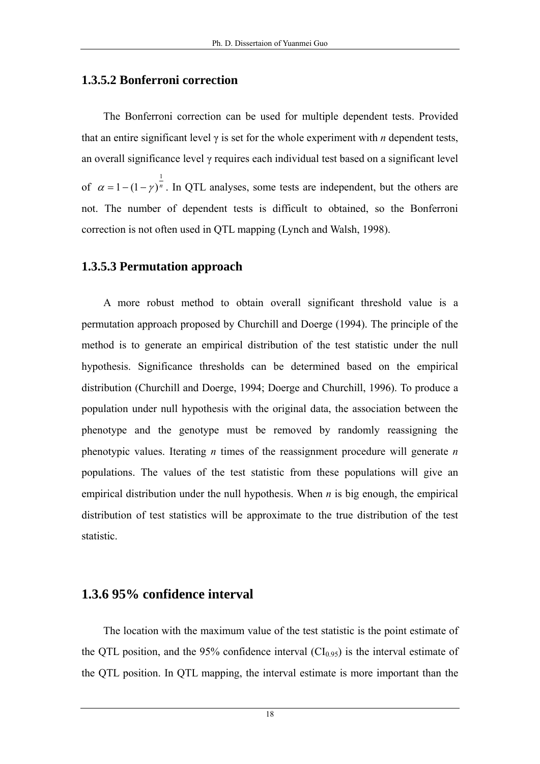## **1.3.5.2 Bonferroni correction**

The Bonferroni correction can be used for multiple dependent tests. Provided that an entire significant level  $\gamma$  is set for the whole experiment with *n* dependent tests, an overall significance level γ requires each individual test based on a significant level of  $\alpha = 1 - (1 - \gamma)^n$ 1  $\alpha = 1-(1-\gamma)^n$ . In QTL analyses, some tests are independent, but the others are not. The number of dependent tests is difficult to obtained, so the Bonferroni correction is not often used in QTL mapping (Lynch and Walsh, 1998).

### **1.3.5.3 Permutation approach**

A more robust method to obtain overall significant threshold value is a permutation approach proposed by Churchill and Doerge (1994). The principle of the method is to generate an empirical distribution of the test statistic under the null hypothesis. Significance thresholds can be determined based on the empirical distribution (Churchill and Doerge, 1994; Doerge and Churchill, 1996). To produce a population under null hypothesis with the original data, the association between the phenotype and the genotype must be removed by randomly reassigning the phenotypic values. Iterating *n* times of the reassignment procedure will generate *n* populations. The values of the test statistic from these populations will give an empirical distribution under the null hypothesis. When *n* is big enough, the empirical distribution of test statistics will be approximate to the true distribution of the test statistic.

#### **1.3.6 95% confidence interval**

The location with the maximum value of the test statistic is the point estimate of the QTL position, and the 95% confidence interval  $(Cl<sub>0.95</sub>)$  is the interval estimate of the QTL position. In QTL mapping, the interval estimate is more important than the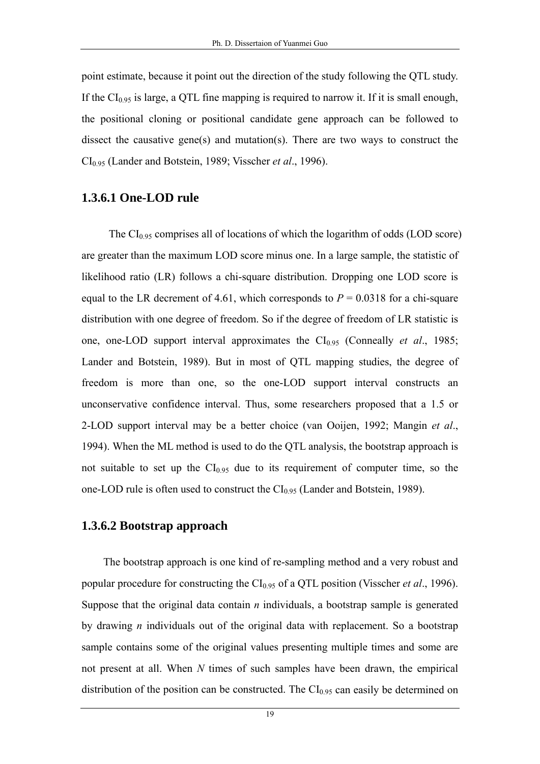point estimate, because it point out the direction of the study following the QTL study. If the  $CI<sub>0.95</sub>$  is large, a QTL fine mapping is required to narrow it. If it is small enough, the positional cloning or positional candidate gene approach can be followed to dissect the causative gene(s) and mutation(s). There are two ways to construct the CI0.95 (Lander and Botstein, 1989; Visscher *et al*., 1996).

#### **1.3.6.1 One-LOD rule**

The  $CI_{0.95}$  comprises all of locations of which the logarithm of odds (LOD score) are greater than the maximum LOD score minus one. In a large sample, the statistic of likelihood ratio (LR) follows a chi-square distribution. Dropping one LOD score is equal to the LR decrement of 4.61, which corresponds to  $P = 0.0318$  for a chi-square distribution with one degree of freedom. So if the degree of freedom of LR statistic is one, one-LOD support interval approximates the CI0.95 (Conneally *et al*., 1985; Lander and Botstein, 1989). But in most of QTL mapping studies, the degree of freedom is more than one, so the one-LOD support interval constructs an unconservative confidence interval. Thus, some researchers proposed that a 1.5 or 2-LOD support interval may be a better choice (van Ooijen, 1992; Mangin *et al*., 1994). When the ML method is used to do the QTL analysis, the bootstrap approach is not suitable to set up the  $CI<sub>0.95</sub>$  due to its requirement of computer time, so the one-LOD rule is often used to construct the  $CI_{0.95}$  (Lander and Botstein, 1989).

#### **1.3.6.2 Bootstrap approach**

The bootstrap approach is one kind of re-sampling method and a very robust and popular procedure for constructing the CI0.95 of a QTL position (Visscher *et al*., 1996). Suppose that the original data contain *n* individuals, a bootstrap sample is generated by drawing *n* individuals out of the original data with replacement. So a bootstrap sample contains some of the original values presenting multiple times and some are not present at all. When *N* times of such samples have been drawn, the empirical distribution of the position can be constructed. The  $CI<sub>0.95</sub>$  can easily be determined on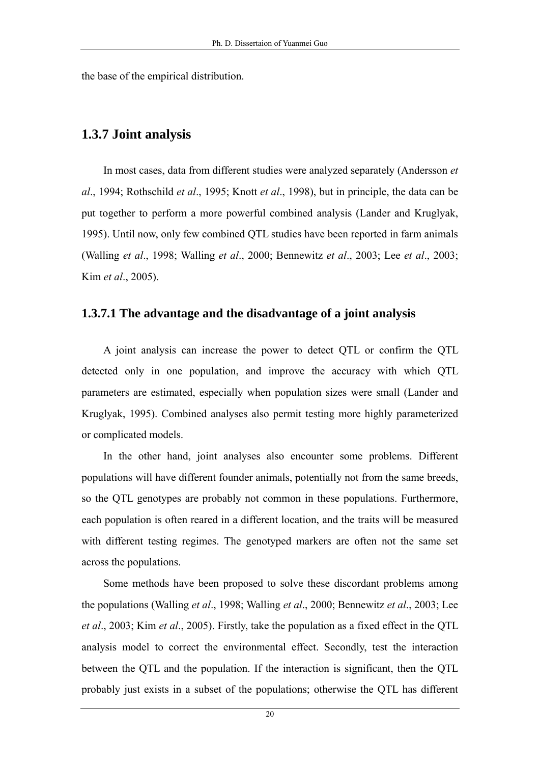the base of the empirical distribution.

#### **1.3.7 Joint analysis**

In most cases, data from different studies were analyzed separately (Andersson *et al*., 1994; Rothschild *et al*., 1995; Knott *et al*., 1998), but in principle, the data can be put together to perform a more powerful combined analysis (Lander and Kruglyak, 1995). Until now, only few combined QTL studies have been reported in farm animals (Walling *et al*., 1998; Walling *et al*., 2000; Bennewitz *et al*., 2003; Lee *et al*., 2003; Kim *et al*., 2005).

#### **1.3.7.1 The advantage and the disadvantage of a joint analysis**

A joint analysis can increase the power to detect QTL or confirm the QTL detected only in one population, and improve the accuracy with which QTL parameters are estimated, especially when population sizes were small (Lander and Kruglyak, 1995). Combined analyses also permit testing more highly parameterized or complicated models.

In the other hand, joint analyses also encounter some problems. Different populations will have different founder animals, potentially not from the same breeds, so the QTL genotypes are probably not common in these populations. Furthermore, each population is often reared in a different location, and the traits will be measured with different testing regimes. The genotyped markers are often not the same set across the populations.

Some methods have been proposed to solve these discordant problems among the populations (Walling *et al*., 1998; Walling *et al*., 2000; Bennewitz *et al*., 2003; Lee *et al*., 2003; Kim *et al*., 2005). Firstly, take the population as a fixed effect in the QTL analysis model to correct the environmental effect. Secondly, test the interaction between the QTL and the population. If the interaction is significant, then the QTL probably just exists in a subset of the populations; otherwise the QTL has different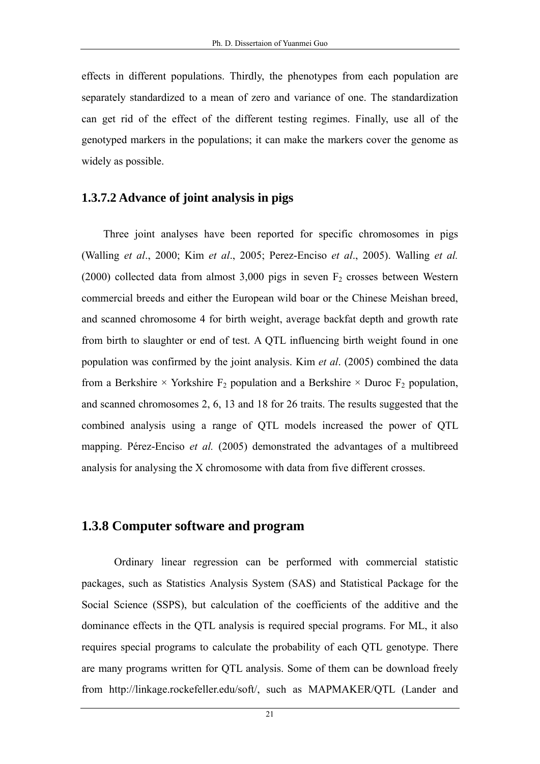effects in different populations. Thirdly, the phenotypes from each population are separately standardized to a mean of zero and variance of one. The standardization can get rid of the effect of the different testing regimes. Finally, use all of the genotyped markers in the populations; it can make the markers cover the genome as widely as possible.

#### **1.3.7.2 Advance of joint analysis in pigs**

Three joint analyses have been reported for specific chromosomes in pigs (Walling *et al*., 2000; Kim *et al*., 2005; Perez-Enciso *et al*., 2005). Walling *et al.*  (2000) collected data from almost 3,000 pigs in seven  $F_2$  crosses between Western commercial breeds and either the European wild boar or the Chinese Meishan breed, and scanned chromosome 4 for birth weight, average backfat depth and growth rate from birth to slaughter or end of test. A QTL influencing birth weight found in one population was confirmed by the joint analysis. Kim *et al*. (2005) combined the data from a Berkshire  $\times$  Yorkshire  $F_2$  population and a Berkshire  $\times$  Duroc  $F_2$  population, and scanned chromosomes 2, 6, 13 and 18 for 26 traits. The results suggested that the combined analysis using a range of QTL models increased the power of QTL mapping. Pérez-Enciso *et al.* (2005) demonstrated the advantages of a multibreed analysis for analysing the X chromosome with data from five different crosses.

#### **1.3.8 Computer software and program**

Ordinary linear regression can be performed with commercial statistic packages, such as Statistics Analysis System (SAS) and Statistical Package for the Social Science (SSPS), but calculation of the coefficients of the additive and the dominance effects in the QTL analysis is required special programs. For ML, it also requires special programs to calculate the probability of each QTL genotype. There are many programs written for QTL analysis. Some of them can be download freely from http://linkage.rockefeller.edu/soft/, such as MAPMAKER/QTL (Lander and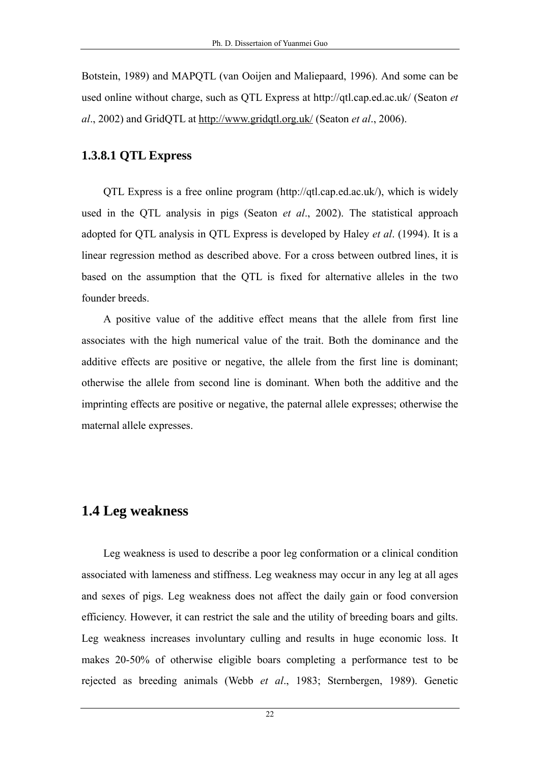Botstein, 1989) and MAPQTL (van Ooijen and Maliepaard, 1996). And some can be used online without charge, such as QTL Express at http://qtl.cap.ed.ac.uk/ (Seaton *et al*., 2002) and GridQTL at<http://www.gridqtl.org.uk/> (Seaton *et al*., 2006).

#### **1.3.8.1 QTL Express**

QTL Express is a free online program (http://qtl.cap.ed.ac.uk/), which is widely used in the QTL analysis in pigs (Seaton *et al*., 2002). The statistical approach adopted for QTL analysis in QTL Express is developed by Haley *et al*. (1994). It is a linear regression method as described above. For a cross between outbred lines, it is based on the assumption that the QTL is fixed for alternative alleles in the two founder breeds.

A positive value of the additive effect means that the allele from first line associates with the high numerical value of the trait. Both the dominance and the additive effects are positive or negative, the allele from the first line is dominant; otherwise the allele from second line is dominant. When both the additive and the imprinting effects are positive or negative, the paternal allele expresses; otherwise the maternal allele expresses.

#### **1.4 Leg weakness**

Leg weakness is used to describe a poor leg conformation or a clinical condition associated with lameness and stiffness. Leg weakness may occur in any leg at all ages and sexes of pigs. Leg weakness does not affect the daily gain or food conversion efficiency. However, it can restrict the sale and the utility of breeding boars and gilts. Leg weakness increases involuntary culling and results in huge economic loss. It makes 20-50% of otherwise eligible boars completing a performance test to be rejected as breeding animals (Webb *et al*., 1983; Sternbergen, 1989). Genetic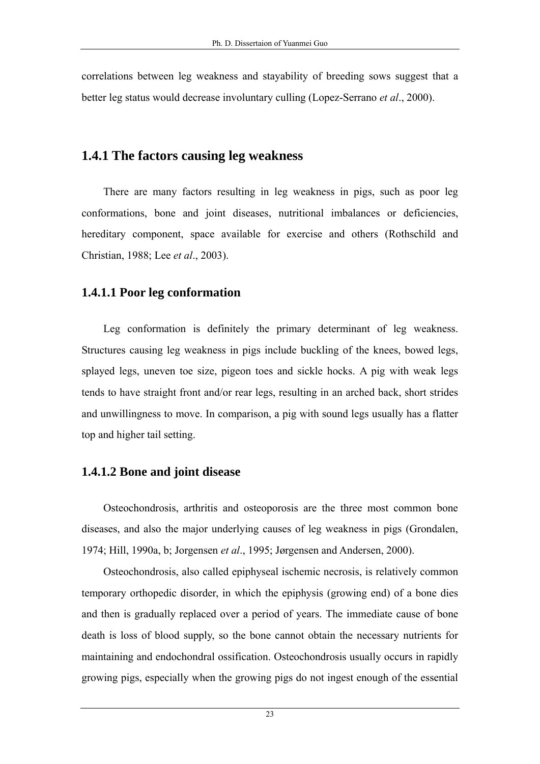correlations between leg weakness and stayability of breeding sows suggest that a better leg status would decrease involuntary culling (Lopez-Serrano *et al*., 2000).

# **1.4.1 The factors causing leg weakness**

There are many factors resulting in leg weakness in pigs, such as poor leg conformations, bone and joint diseases, nutritional imbalances or deficiencies, hereditary component, space available for exercise and others (Rothschild and Christian, 1988; Lee *et al*., 2003).

# **1.4.1.1 Poor leg conformation**

Leg conformation is definitely the primary determinant of leg weakness. Structures causing leg weakness in pigs include buckling of the knees, bowed legs, splayed legs, uneven toe size, pigeon toes and sickle hocks. A pig with weak legs tends to have straight front and/or rear legs, resulting in an arched back, short strides and unwillingness to move. In comparison, a pig with sound legs usually has a flatter top and higher tail setting.

# **1.4.1.2 Bone and joint disease**

Osteochondrosis, arthritis and osteoporosis are the three most common bone diseases, and also the major underlying causes of leg weakness in pigs (Grondalen, 1974; Hill, 1990a, b; Jorgensen *et al*., 1995; Jørgensen and Andersen, 2000).

Osteochondrosis, also called epiphyseal ischemic necrosis, is relatively common temporary orthopedic disorder, in which the epiphysis (growing end) of a bone dies and then is gradually replaced over a period of years. The immediate cause of bone death is loss of blood supply, so the bone cannot obtain the necessary nutrients for maintaining and endochondral ossification. Osteochondrosis usually occurs in rapidly growing pigs, especially when the growing pigs do not ingest enough of the essential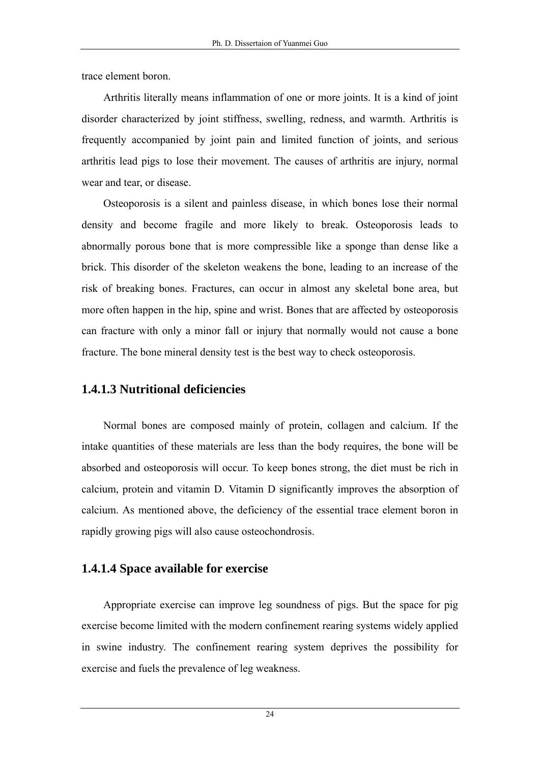trace element boron.

Arthritis literally means inflammation of one or more joints. It is a kind of joint disorder characterized by joint stiffness, swelling, redness, and warmth. Arthritis is frequently accompanied by joint pain and limited function of joints, and serious arthritis lead pigs to lose their movement. The causes of arthritis are injury, normal wear and tear, or disease.

Osteoporosis is a silent and painless disease, in which bones lose their normal density and become fragile and more likely to break. Osteoporosis leads to abnormally porous bone that is more compressible like a sponge than dense like a brick. This disorder of the skeleton weakens the bone, leading to an increase of the risk of breaking bones. Fractures, can occur in almost any skeletal bone area, but more often happen in the hip, spine and wrist. Bones that are affected by osteoporosis can fracture with only a minor fall or injury that normally would not cause a bone fracture. The bone mineral density test is the best way to check osteoporosis.

## **1.4.1.3 Nutritional deficiencies**

Normal bones are composed mainly of protein, collagen and calcium. If the intake quantities of these materials are less than the body requires, the bone will be absorbed and osteoporosis will occur. To keep bones strong, the diet must be rich in calcium, protein and vitamin D. Vitamin D significantly improves the absorption of calcium. As mentioned above, the deficiency of the essential trace element boron in rapidly growing pigs will also cause osteochondrosis.

## **1.4.1.4 Space available for exercise**

Appropriate exercise can improve leg soundness of pigs. But the space for pig exercise become limited with the modern confinement rearing systems widely applied in swine industry. The confinement rearing system deprives the possibility for exercise and fuels the prevalence of leg weakness.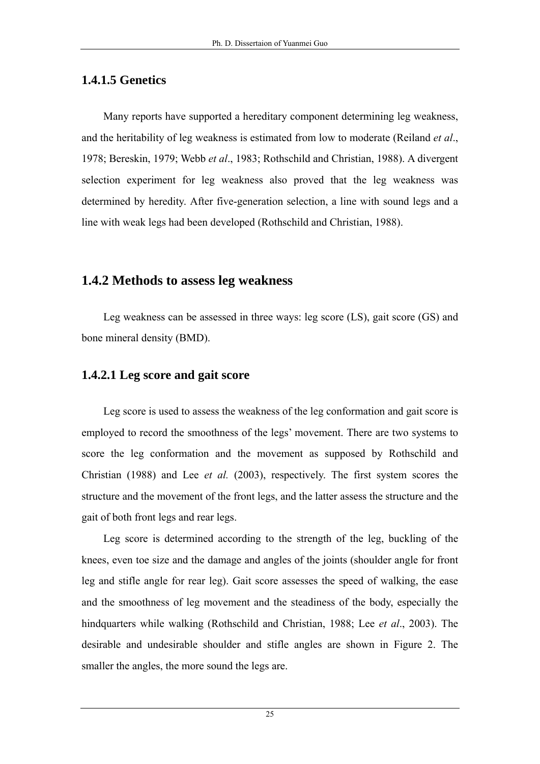## **1.4.1.5 Genetics**

Many reports have supported a hereditary component determining leg weakness, and the heritability of leg weakness is estimated from low to moderate (Reiland *et al*., 1978; Bereskin, 1979; Webb *et al*., 1983; Rothschild and Christian, 1988). A divergent selection experiment for leg weakness also proved that the leg weakness was determined by heredity. After five-generation selection, a line with sound legs and a line with weak legs had been developed (Rothschild and Christian, 1988).

# **1.4.2 Methods to assess leg weakness**

Leg weakness can be assessed in three ways: leg score (LS), gait score (GS) and bone mineral density (BMD).

### **1.4.2.1 Leg score and gait score**

Leg score is used to assess the weakness of the leg conformation and gait score is employed to record the smoothness of the legs' movement. There are two systems to score the leg conformation and the movement as supposed by Rothschild and Christian (1988) and Lee *et al.* (2003), respectively. The first system scores the structure and the movement of the front legs, and the latter assess the structure and the gait of both front legs and rear legs.

Leg score is determined according to the strength of the leg, buckling of the knees, even toe size and the damage and angles of the joints (shoulder angle for front leg and stifle angle for rear leg). Gait score assesses the speed of walking, the ease and the smoothness of leg movement and the steadiness of the body, especially the hindquarters while walking (Rothschild and Christian, 1988; Lee *et al*., 2003). The desirable and undesirable shoulder and stifle angles are shown in Figure 2. The smaller the angles, the more sound the legs are.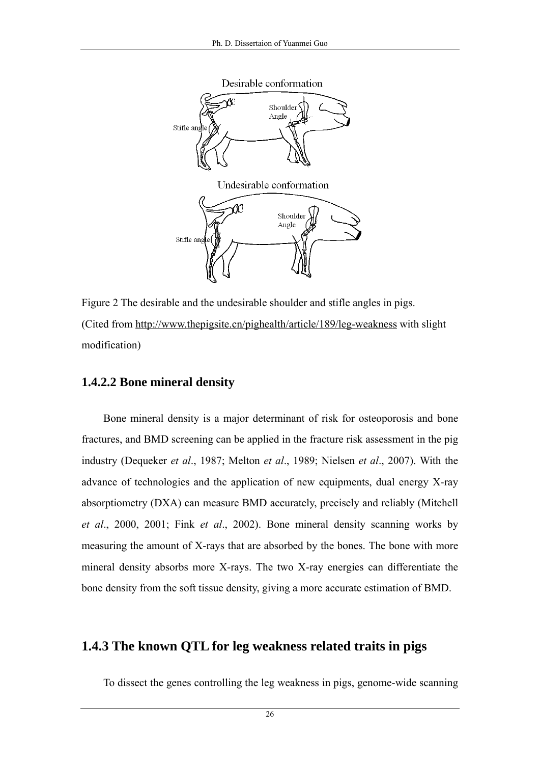

Figure 2 The desirable and the undesirable shoulder and stifle angles in pigs. (Cited from<http://www.thepigsite.cn/pighealth/article/189/leg-weakness>with slight modification)

#### **1.4.2.2 Bone mineral density**

Bone mineral density is a major determinant of risk for osteoporosis and bone fractures, and BMD screening can be applied in the fracture risk assessment in the pig industry (Dequeker *et al*., 1987; Melton *et al*., 1989; Nielsen *et al*., 2007). With the advance of technologies and the application of new equipments, dual energy X-ray absorptiometry (DXA) can measure BMD accurately, precisely and reliably (Mitchell *et al*., 2000, 2001; Fink *et al*., 2002). Bone mineral density scanning works by measuring the amount of X-rays that are absorbed by the bones. The bone with more mineral density absorbs more X-rays. The two X-ray energies can differentiate the bone density from the soft tissue density, giving a more accurate estimation of BMD.

## **1.4.3 The known QTL for leg weakness related traits in pigs**

To dissect the genes controlling the leg weakness in pigs, genome-wide scanning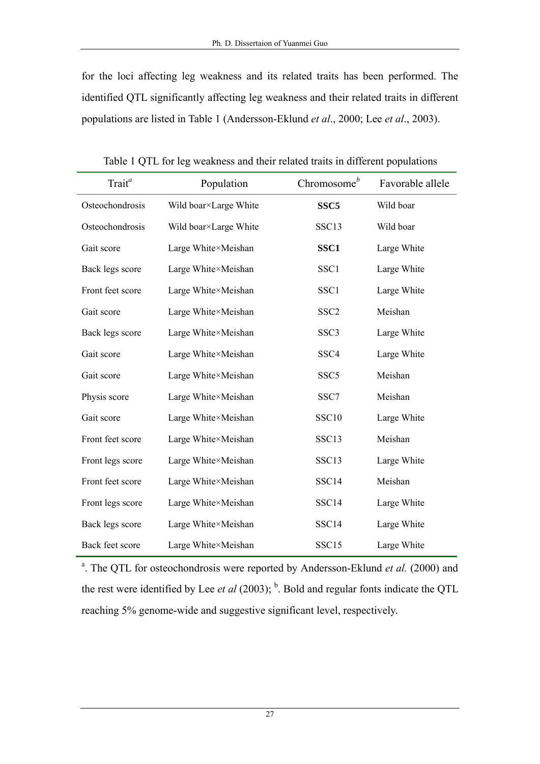for the loci affecting leg weakness and its related traits has been performed. The identified QTL significantly affecting leg weakness and their related traits in different populations are listed in Table 1 (Andersson-Eklund *et al*., 2000; Lee *et al*., 2003).

| Trait <sup>a</sup> | Population            | Chromosome $b$   | Favorable allele |
|--------------------|-----------------------|------------------|------------------|
| Osteochondrosis    | Wild boar×Large White | SSC <sub>5</sub> | Wild boar        |
| Osteochondrosis    | Wild boar×Large White | SSC13            | Wild boar        |
| Gait score         | Large White×Meishan   | SSC <sub>1</sub> | Large White      |
| Back legs score    | Large White×Meishan   | SSC1             | Large White      |
| Front feet score   | Large White×Meishan   | SSC1             | Large White      |
| Gait score         | Large White×Meishan   | SSC <sub>2</sub> | Meishan          |
| Back legs score    | Large White×Meishan   | SSC <sub>3</sub> | Large White      |
| Gait score         | Large White×Meishan   | SSC <sub>4</sub> | Large White      |
| Gait score         | Large White×Meishan   | SSC <sub>5</sub> | Meishan          |
| Physis score       | Large White×Meishan   | SSC7             | Meishan          |
| Gait score         | Large White×Meishan   | SSC10            | Large White      |
| Front feet score   | Large White×Meishan   | SSC13            | Meishan          |
| Front legs score   | Large White×Meishan   | SSC13            | Large White      |
| Front feet score   | Large White×Meishan   | SSC14            | Meishan          |
| Front legs score   | Large White×Meishan   | SSC14            | Large White      |
| Back legs score    | Large White×Meishan   | SSC14            | Large White      |
| Back feet score    | Large White×Meishan   | SSC15            | Large White      |

Table 1 QTL for leg weakness and their related traits in different populations

<sup>a</sup>. The QTL for osteochondrosis were reported by Andersson-Eklund et al. (2000) and the rest were identified by Lee *et al* (2003);  $<sup>b</sup>$ . Bold and regular fonts indicate the QTL</sup> reaching 5% genome-wide and suggestive significant level, respectively.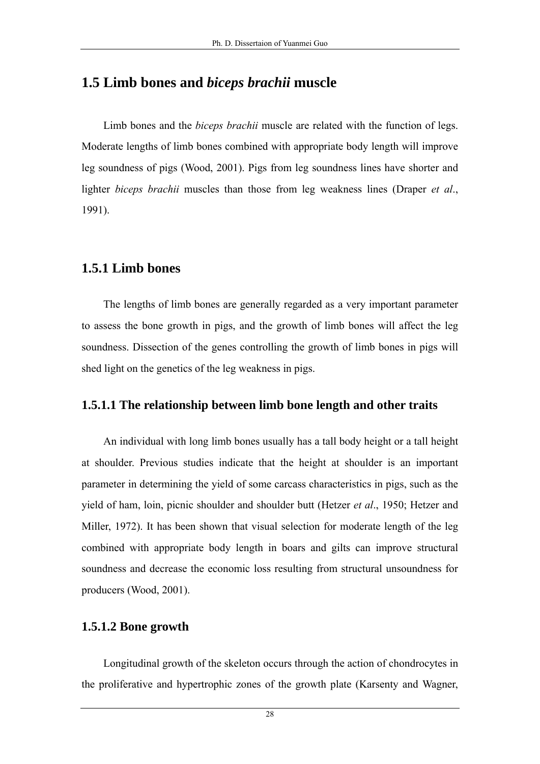## **1.5 Limb bones and** *biceps brachii* **muscle**

Limb bones and the *biceps brachii* muscle are related with the function of legs. Moderate lengths of limb bones combined with appropriate body length will improve leg soundness of pigs (Wood, 2001). Pigs from leg soundness lines have shorter and lighter *biceps brachii* muscles than those from leg weakness lines (Draper *et al*., 1991).

#### **1.5.1 Limb bones**

The lengths of limb bones are generally regarded as a very important parameter to assess the bone growth in pigs, and the growth of limb bones will affect the leg soundness. Dissection of the genes controlling the growth of limb bones in pigs will shed light on the genetics of the leg weakness in pigs.

#### **1.5.1.1 The relationship between limb bone length and other traits**

An individual with long limb bones usually has a tall body height or a tall height at shoulder. Previous studies indicate that the height at shoulder is an important parameter in determining the yield of some carcass characteristics in pigs, such as the yield of ham, loin, picnic shoulder and shoulder butt (Hetzer *et al*., 1950; Hetzer and Miller, 1972). It has been shown that visual selection for moderate length of the leg combined with appropriate body length in boars and gilts can improve structural soundness and decrease the economic loss resulting from structural unsoundness for producers (Wood, 2001).

#### **1.5.1.2 Bone growth**

Longitudinal growth of the skeleton occurs through the action of chondrocytes in the proliferative and hypertrophic zones of the growth plate (Karsenty and Wagner,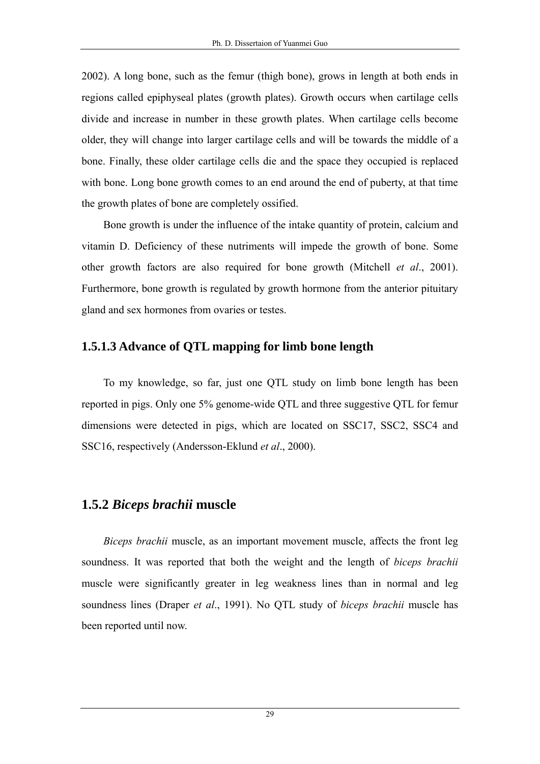2002). A long bone, such as the femur (thigh bone), grows in length at both ends in regions called epiphyseal plates (growth plates). Growth occurs when cartilage cells divide and increase in number in these growth plates. When cartilage cells become older, they will change into larger cartilage cells and will be towards the middle of a bone. Finally, these older cartilage cells die and the space they occupied is replaced with bone. Long bone growth comes to an end around the end of puberty, at that time the growth plates of bone are completely ossified.

Bone growth is under the influence of the intake quantity of protein, calcium and vitamin D. Deficiency of these nutriments will impede the growth of bone. Some other growth factors are also required for bone growth (Mitchell *et al*., 2001). Furthermore, bone growth is regulated by growth hormone from the anterior pituitary gland and sex hormones from ovaries or testes.

## **1.5.1.3 Advance of QTL mapping for limb bone length**

To my knowledge, so far, just one QTL study on limb bone length has been reported in pigs. Only one 5% genome-wide QTL and three suggestive QTL for femur dimensions were detected in pigs, which are located on SSC17, SSC2, SSC4 and SSC16, respectively (Andersson-Eklund *et al*., 2000).

# **1.5.2** *Biceps brachii* **muscle**

*Biceps brachii* muscle, as an important movement muscle, affects the front leg soundness. It was reported that both the weight and the length of *biceps brachii* muscle were significantly greater in leg weakness lines than in normal and leg soundness lines (Draper *et al*., 1991). No QTL study of *biceps brachii* muscle has been reported until now.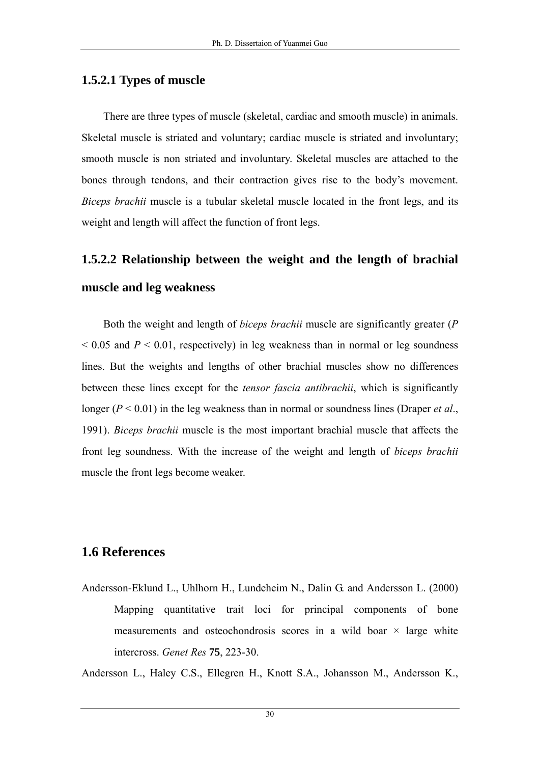# **1.5.2.1 Types of muscle**

There are three types of muscle (skeletal, cardiac and smooth muscle) in animals. Skeletal muscle is striated and voluntary; cardiac muscle is striated and involuntary; smooth muscle is non striated and involuntary. Skeletal muscles are attached to the bones through tendons, and their contraction gives rise to the body's movement. *Biceps brachii* muscle is a tubular skeletal muscle located in the front legs, and its weight and length will affect the function of front legs.

# **1.5.2.2 Relationship between the weight and the length of brachial muscle and leg weakness**

Both the weight and length of *biceps brachii* muscle are significantly greater (*P*  $0.05$  and  $P < 0.01$ , respectively) in leg weakness than in normal or leg soundness lines. But the weights and lengths of other brachial muscles show no differences between these lines except for the *tensor fascia antibrachii*, which is significantly longer ( $P < 0.01$ ) in the leg weakness than in normal or soundness lines (Draper *et al.*, 1991). *Biceps brachii* muscle is the most important brachial muscle that affects the front leg soundness. With the increase of the weight and length of *biceps brachii* muscle the front legs become weaker.

# **1.6 References**

Andersson-Eklund L., Uhlhorn H., Lundeheim N., Dalin G. and Andersson L. (2000) Mapping quantitative trait loci for principal components of bone measurements and osteochondrosis scores in a wild boar  $\times$  large white intercross. *Genet Res* **75**, 223-30.

Andersson L., Haley C.S., Ellegren H., Knott S.A., Johansson M., Andersson K.,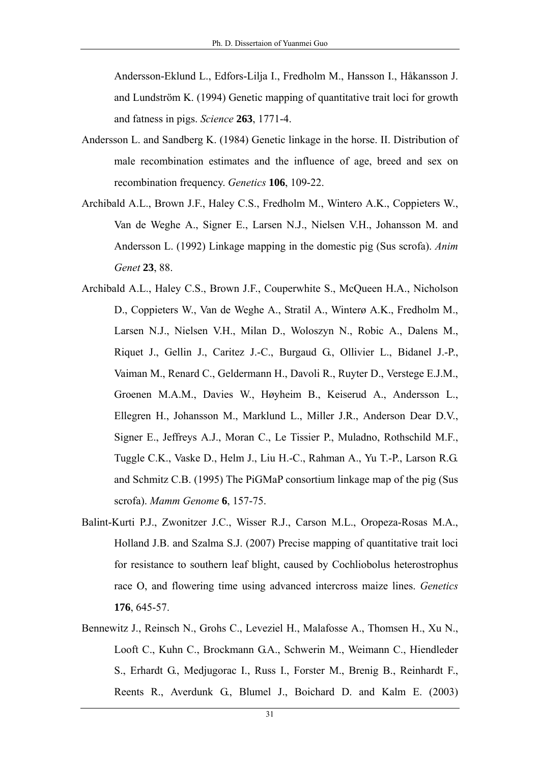Andersson-Eklund L., Edfors-Lilja I., Fredholm M., Hansson I., Håkansson J. and Lundström K. (1994) Genetic mapping of quantitative trait loci for growth and fatness in pigs. *Science* **263**, 1771-4.

- Andersson L. and Sandberg K. (1984) Genetic linkage in the horse. II. Distribution of male recombination estimates and the influence of age, breed and sex on recombination frequency. *Genetics* **106**, 109-22.
- Archibald A.L., Brown J.F., Haley C.S., Fredholm M., Wintero A.K., Coppieters W., Van de Weghe A., Signer E., Larsen N.J., Nielsen V.H., Johansson M. and Andersson L. (1992) Linkage mapping in the domestic pig (Sus scrofa). *Anim Genet* **23**, 88.
- Archibald A.L., Haley C.S., Brown J.F., Couperwhite S., McQueen H.A., Nicholson D., Coppieters W., Van de Weghe A., Stratil A., Winterø A.K., Fredholm M., Larsen N.J., Nielsen V.H., Milan D., Woloszyn N., Robic A., Dalens M., Riquet J., Gellin J., Caritez J.-C., Burgaud G., Ollivier L., Bidanel J.-P., Vaiman M., Renard C., Geldermann H., Davoli R., Ruyter D., Verstege E.J.M., Groenen M.A.M., Davies W., Høyheim B., Keiserud A., Andersson L., Ellegren H., Johansson M., Marklund L., Miller J.R., Anderson Dear D.V., Signer E., Jeffreys A.J., Moran C., Le Tissier P., Muladno, Rothschild M.F., Tuggle C.K., Vaske D., Helm J., Liu H.-C., Rahman A., Yu T.-P., Larson R.G. and Schmitz C.B. (1995) The PiGMaP consortium linkage map of the pig (Sus scrofa). *Mamm Genome* **6**, 157-75.
- Balint-Kurti P.J., Zwonitzer J.C., Wisser R.J., Carson M.L., Oropeza-Rosas M.A., Holland J.B. and Szalma S.J. (2007) Precise mapping of quantitative trait loci for resistance to southern leaf blight, caused by Cochliobolus heterostrophus race O, and flowering time using advanced intercross maize lines. *Genetics* **176**, 645-57.
- Bennewitz J., Reinsch N., Grohs C., Leveziel H., Malafosse A., Thomsen H., Xu N., Looft C., Kuhn C., Brockmann G.A., Schwerin M., Weimann C., Hiendleder S., Erhardt G., Medjugorac I., Russ I., Forster M., Brenig B., Reinhardt F., Reents R., Averdunk G., Blumel J., Boichard D. and Kalm E. (2003)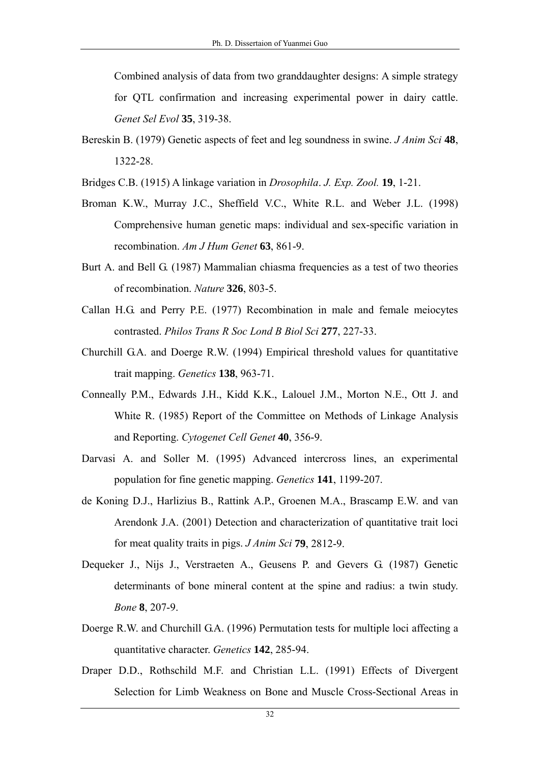Combined analysis of data from two granddaughter designs: A simple strategy for QTL confirmation and increasing experimental power in dairy cattle. *Genet Sel Evol* **35**, 319-38.

- Bereskin B. (1979) Genetic aspects of feet and leg soundness in swine. *J Anim Sci* **48**, 1322-28.
- Bridges C.B. (1915) A linkage variation in *Drosophila*. *J. Exp. Zool.* **19**, 1-21.
- Broman K.W., Murray J.C., Sheffield V.C., White R.L. and Weber J.L. (1998) Comprehensive human genetic maps: individual and sex-specific variation in recombination. *Am J Hum Genet* **63**, 861-9.
- Burt A. and Bell G. (1987) Mammalian chiasma frequencies as a test of two theories of recombination. *Nature* **326**, 803-5.
- Callan H.G. and Perry P.E. (1977) Recombination in male and female meiocytes contrasted. *Philos Trans R Soc Lond B Biol Sci* **277**, 227-33.
- Churchill G.A. and Doerge R.W. (1994) Empirical threshold values for quantitative trait mapping. *Genetics* **138**, 963-71.
- Conneally P.M., Edwards J.H., Kidd K.K., Lalouel J.M., Morton N.E., Ott J. and White R. (1985) Report of the Committee on Methods of Linkage Analysis and Reporting. *Cytogenet Cell Genet* **40**, 356-9.
- Darvasi A. and Soller M. (1995) Advanced intercross lines, an experimental population for fine genetic mapping. *Genetics* **141**, 1199-207.
- de Koning D.J., Harlizius B., Rattink A.P., Groenen M.A., Brascamp E.W. and van Arendonk J.A. (2001) Detection and characterization of quantitative trait loci for meat quality traits in pigs. *J Anim Sci* **79**, 2812-9.
- Dequeker J., Nijs J., Verstraeten A., Geusens P. and Gevers G. (1987) Genetic determinants of bone mineral content at the spine and radius: a twin study. *Bone* **8**, 207-9.
- Doerge R.W. and Churchill G.A. (1996) Permutation tests for multiple loci affecting a quantitative character. *Genetics* **142**, 285-94.
- Draper D.D., Rothschild M.F. and Christian L.L. (1991) Effects of Divergent Selection for Limb Weakness on Bone and Muscle Cross-Sectional Areas in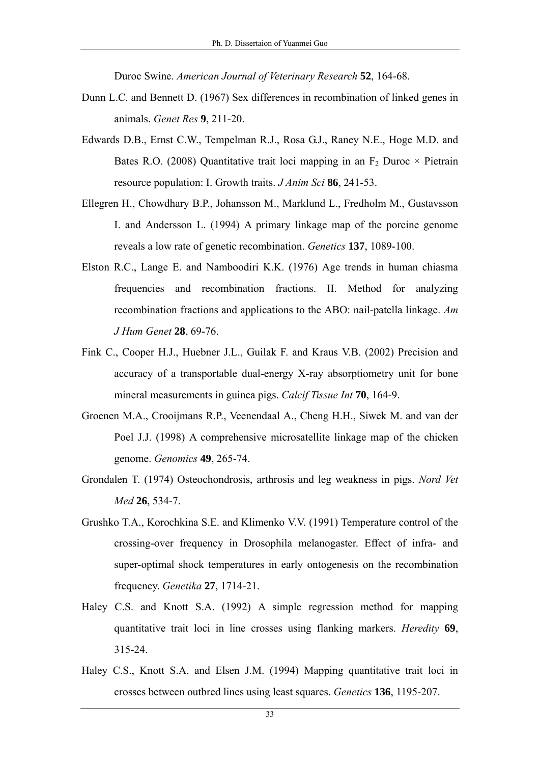Duroc Swine. *American Journal of Veterinary Research* **52**, 164-68.

- Dunn L.C. and Bennett D. (1967) Sex differences in recombination of linked genes in animals. *Genet Res* **9**, 211-20.
- Edwards D.B., Ernst C.W., Tempelman R.J., Rosa G.J., Raney N.E., Hoge M.D. and Bates R.O. (2008) Quantitative trait loci mapping in an  $F_2$  Duroc  $\times$  Pietrain resource population: I. Growth traits. *J Anim Sci* **86**, 241-53.
- Ellegren H., Chowdhary B.P., Johansson M., Marklund L., Fredholm M., Gustavsson I. and Andersson L. (1994) A primary linkage map of the porcine genome reveals a low rate of genetic recombination. *Genetics* **137**, 1089-100.
- Elston R.C., Lange E. and Namboodiri K.K. (1976) Age trends in human chiasma frequencies and recombination fractions. II. Method for analyzing recombination fractions and applications to the ABO: nail-patella linkage. *Am J Hum Genet* **28**, 69-76.
- Fink C., Cooper H.J., Huebner J.L., Guilak F. and Kraus V.B. (2002) Precision and accuracy of a transportable dual-energy X-ray absorptiometry unit for bone mineral measurements in guinea pigs. *Calcif Tissue Int* **70**, 164-9.
- Groenen M.A., Crooijmans R.P., Veenendaal A., Cheng H.H., Siwek M. and van der Poel J.J. (1998) A comprehensive microsatellite linkage map of the chicken genome. *Genomics* **49**, 265-74.
- Grondalen T. (1974) Osteochondrosis, arthrosis and leg weakness in pigs. *Nord Vet Med* **26**, 534-7.
- Grushko T.A., Korochkina S.E. and Klimenko V.V. (1991) Temperature control of the crossing-over frequency in Drosophila melanogaster. Effect of infra- and super-optimal shock temperatures in early ontogenesis on the recombination frequency. *Genetika* **27**, 1714-21.
- Haley C.S. and Knott S.A. (1992) A simple regression method for mapping quantitative trait loci in line crosses using flanking markers. *Heredity* **69**, 315-24.
- Haley C.S., Knott S.A. and Elsen J.M. (1994) Mapping quantitative trait loci in crosses between outbred lines using least squares. *Genetics* **136**, 1195-207.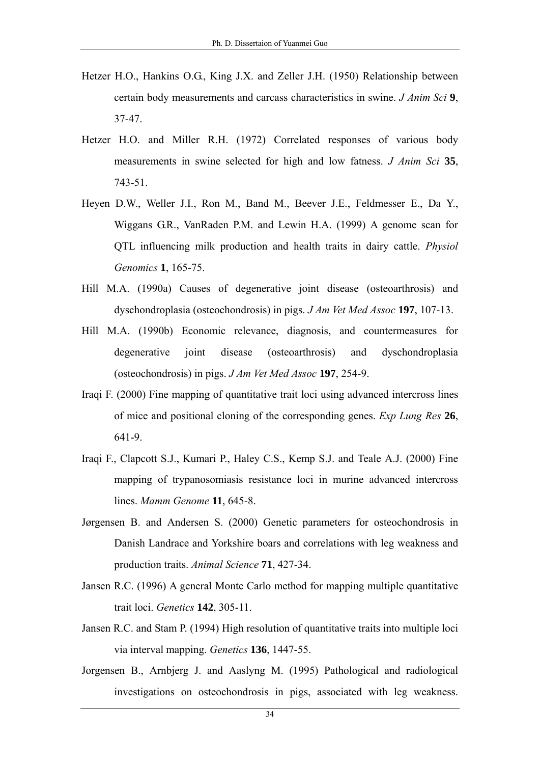- Hetzer H.O., Hankins O.G., King J.X. and Zeller J.H. (1950) Relationship between certain body measurements and carcass characteristics in swine. *J Anim Sci* **9**, 37-47.
- Hetzer H.O. and Miller R.H. (1972) Correlated responses of various body measurements in swine selected for high and low fatness. *J Anim Sci* **35**, 743-51.
- Heyen D.W., Weller J.I., Ron M., Band M., Beever J.E., Feldmesser E., Da Y., Wiggans G.R., VanRaden P.M. and Lewin H.A. (1999) A genome scan for QTL influencing milk production and health traits in dairy cattle. *Physiol Genomics* **1**, 165-75.
- Hill M.A. (1990a) Causes of degenerative joint disease (osteoarthrosis) and dyschondroplasia (osteochondrosis) in pigs. *J Am Vet Med Assoc* **197**, 107-13.
- Hill M.A. (1990b) Economic relevance, diagnosis, and countermeasures for degenerative joint disease (osteoarthrosis) and dyschondroplasia (osteochondrosis) in pigs. *J Am Vet Med Assoc* **197**, 254-9.
- Iraqi F. (2000) Fine mapping of quantitative trait loci using advanced intercross lines of mice and positional cloning of the corresponding genes. *Exp Lung Res* **26**, 641-9.
- Iraqi F., Clapcott S.J., Kumari P., Haley C.S., Kemp S.J. and Teale A.J. (2000) Fine mapping of trypanosomiasis resistance loci in murine advanced intercross lines. *Mamm Genome* **11**, 645-8.
- Jørgensen B. and Andersen S. (2000) Genetic parameters for osteochondrosis in Danish Landrace and Yorkshire boars and correlations with leg weakness and production traits. *Animal Science* **71**, 427-34.
- Jansen R.C. (1996) A general Monte Carlo method for mapping multiple quantitative trait loci. *Genetics* **142**, 305-11.
- Jansen R.C. and Stam P. (1994) High resolution of quantitative traits into multiple loci via interval mapping. *Genetics* **136**, 1447-55.
- Jorgensen B., Arnbjerg J. and Aaslyng M. (1995) Pathological and radiological investigations on osteochondrosis in pigs, associated with leg weakness.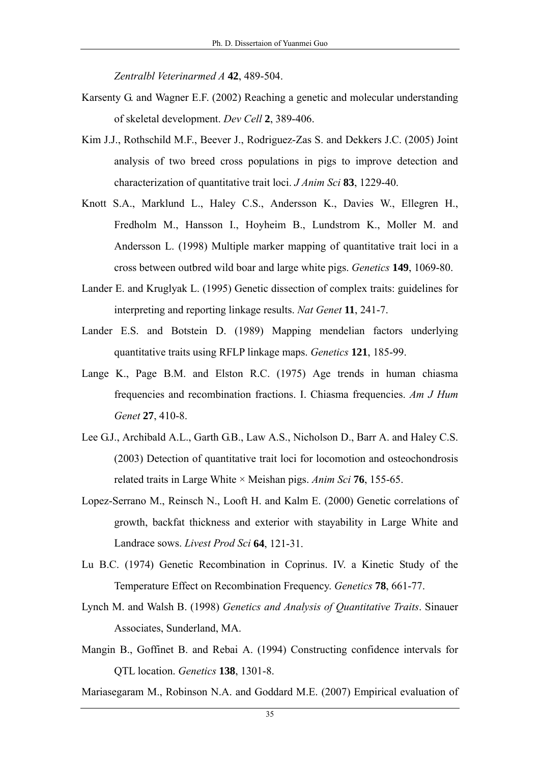*Zentralbl Veterinarmed A* **42**, 489-504.

- Karsenty G. and Wagner E.F. (2002) Reaching a genetic and molecular understanding of skeletal development. *Dev Cell* **2**, 389-406.
- Kim J.J., Rothschild M.F., Beever J., Rodriguez-Zas S. and Dekkers J.C. (2005) Joint analysis of two breed cross populations in pigs to improve detection and characterization of quantitative trait loci. *J Anim Sci* **83**, 1229-40.
- Knott S.A., Marklund L., Haley C.S., Andersson K., Davies W., Ellegren H., Fredholm M., Hansson I., Hoyheim B., Lundstrom K., Moller M. and Andersson L. (1998) Multiple marker mapping of quantitative trait loci in a cross between outbred wild boar and large white pigs. *Genetics* **149**, 1069-80.
- Lander E. and Kruglyak L. (1995) Genetic dissection of complex traits: guidelines for interpreting and reporting linkage results. *Nat Genet* **11**, 241-7.
- Lander E.S. and Botstein D. (1989) Mapping mendelian factors underlying quantitative traits using RFLP linkage maps. *Genetics* **121**, 185-99.
- Lange K., Page B.M. and Elston R.C. (1975) Age trends in human chiasma frequencies and recombination fractions. I. Chiasma frequencies. *Am J Hum Genet* **27**, 410-8.
- Lee G.J., Archibald A.L., Garth G.B., Law A.S., Nicholson D., Barr A. and Haley C.S. (2003) Detection of quantitative trait loci for locomotion and osteochondrosis related traits in Large White × Meishan pigs. *Anim Sci* **76**, 155-65.
- Lopez-Serrano M., Reinsch N., Looft H. and Kalm E. (2000) Genetic correlations of growth, backfat thickness and exterior with stayability in Large White and Landrace sows. *Livest Prod Sci* **64**, 121-31.
- Lu B.C. (1974) Genetic Recombination in Coprinus. IV. a Kinetic Study of the Temperature Effect on Recombination Frequency. *Genetics* **78**, 661-77.
- Lynch M. and Walsh B. (1998) *Genetics and Analysis of Quantitative Traits*. Sinauer Associates, Sunderland, MA.
- Mangin B., Goffinet B. and Rebai A. (1994) Constructing confidence intervals for QTL location. *Genetics* **138**, 1301-8.
- Mariasegaram M., Robinson N.A. and Goddard M.E. (2007) Empirical evaluation of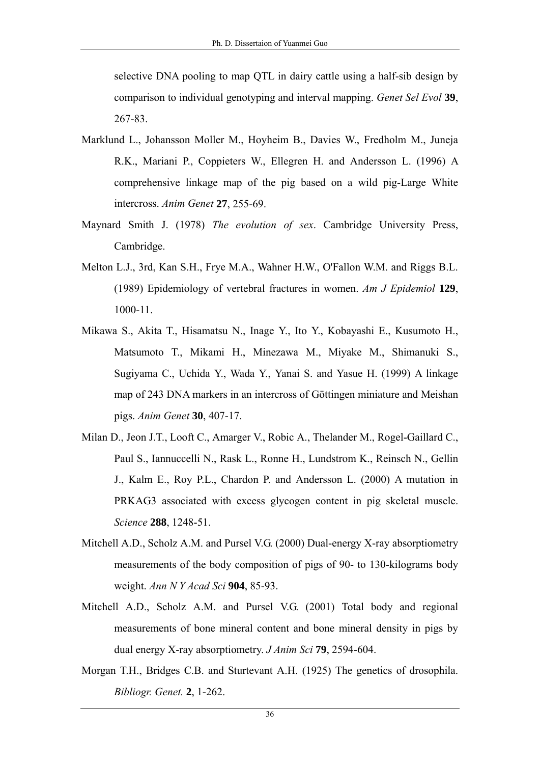selective DNA pooling to map QTL in dairy cattle using a half-sib design by comparison to individual genotyping and interval mapping. *Genet Sel Evol* **39**, 267-83.

- Marklund L., Johansson Moller M., Hoyheim B., Davies W., Fredholm M., Juneja R.K., Mariani P., Coppieters W., Ellegren H. and Andersson L. (1996) A comprehensive linkage map of the pig based on a wild pig-Large White intercross. *Anim Genet* **27**, 255-69.
- Maynard Smith J. (1978) *The evolution of sex*. Cambridge University Press, Cambridge.
- Melton L.J., 3rd, Kan S.H., Frye M.A., Wahner H.W., O'Fallon W.M. and Riggs B.L. (1989) Epidemiology of vertebral fractures in women. *Am J Epidemiol* **129**, 1000-11.
- Mikawa S., Akita T., Hisamatsu N., Inage Y., Ito Y., Kobayashi E., Kusumoto H., Matsumoto T., Mikami H., Minezawa M., Miyake M., Shimanuki S., Sugiyama C., Uchida Y., Wada Y., Yanai S. and Yasue H. (1999) A linkage map of 243 DNA markers in an intercross of Göttingen miniature and Meishan pigs. *Anim Genet* **30**, 407-17.
- Milan D., Jeon J.T., Looft C., Amarger V., Robic A., Thelander M., Rogel-Gaillard C., Paul S., Iannuccelli N., Rask L., Ronne H., Lundstrom K., Reinsch N., Gellin J., Kalm E., Roy P.L., Chardon P. and Andersson L. (2000) A mutation in PRKAG3 associated with excess glycogen content in pig skeletal muscle. *Science* **288**, 1248-51.
- Mitchell A.D., Scholz A.M. and Pursel V.G. (2000) Dual-energy X-ray absorptiometry measurements of the body composition of pigs of 90- to 130-kilograms body weight. *Ann N Y Acad Sci* **904**, 85-93.
- Mitchell A.D., Scholz A.M. and Pursel V.G. (2001) Total body and regional measurements of bone mineral content and bone mineral density in pigs by dual energy X-ray absorptiometry. *J Anim Sci* **79**, 2594-604.
- Morgan T.H., Bridges C.B. and Sturtevant A.H. (1925) The genetics of drosophila. *Bibliogr. Genet.* **2**, 1-262.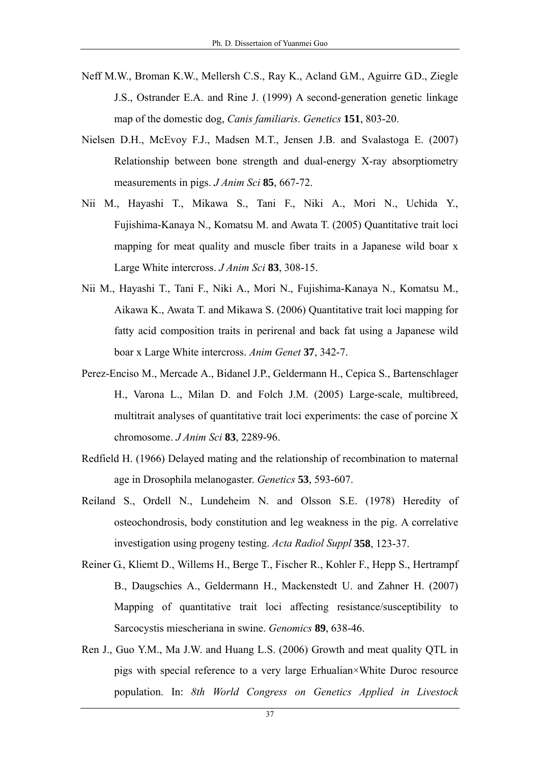- Neff M.W., Broman K.W., Mellersh C.S., Ray K., Acland G.M., Aguirre G.D., Ziegle J.S., Ostrander E.A. and Rine J. (1999) A second-generation genetic linkage map of the domestic dog, *Canis familiaris*. *Genetics* **151**, 803-20.
- Nielsen D.H., McEvoy F.J., Madsen M.T., Jensen J.B. and Svalastoga E. (2007) Relationship between bone strength and dual-energy X-ray absorptiometry measurements in pigs. *J Anim Sci* **85**, 667-72.
- Nii M., Hayashi T., Mikawa S., Tani F., Niki A., Mori N., Uchida Y., Fujishima-Kanaya N., Komatsu M. and Awata T. (2005) Quantitative trait loci mapping for meat quality and muscle fiber traits in a Japanese wild boar x Large White intercross. *J Anim Sci* **83**, 308-15.
- Nii M., Hayashi T., Tani F., Niki A., Mori N., Fujishima-Kanaya N., Komatsu M., Aikawa K., Awata T. and Mikawa S. (2006) Quantitative trait loci mapping for fatty acid composition traits in perirenal and back fat using a Japanese wild boar x Large White intercross. *Anim Genet* **37**, 342-7.
- Perez-Enciso M., Mercade A., Bidanel J.P., Geldermann H., Cepica S., Bartenschlager H., Varona L., Milan D. and Folch J.M. (2005) Large-scale, multibreed, multitrait analyses of quantitative trait loci experiments: the case of porcine X chromosome. *J Anim Sci* **83**, 2289-96.
- Redfield H. (1966) Delayed mating and the relationship of recombination to maternal age in Drosophila melanogaster. *Genetics* **53**, 593-607.
- Reiland S., Ordell N., Lundeheim N. and Olsson S.E. (1978) Heredity of osteochondrosis, body constitution and leg weakness in the pig. A correlative investigation using progeny testing. *Acta Radiol Suppl* **358**, 123-37.
- Reiner G., Kliemt D., Willems H., Berge T., Fischer R., Kohler F., Hepp S., Hertrampf B., Daugschies A., Geldermann H., Mackenstedt U. and Zahner H. (2007) Mapping of quantitative trait loci affecting resistance/susceptibility to Sarcocystis miescheriana in swine. *Genomics* **89**, 638-46.
- Ren J., Guo Y.M., Ma J.W. and Huang L.S. (2006) Growth and meat quality QTL in pigs with special reference to a very large Erhualian×White Duroc resource population. In: *8th World Congress on Genetics Applied in Livestock*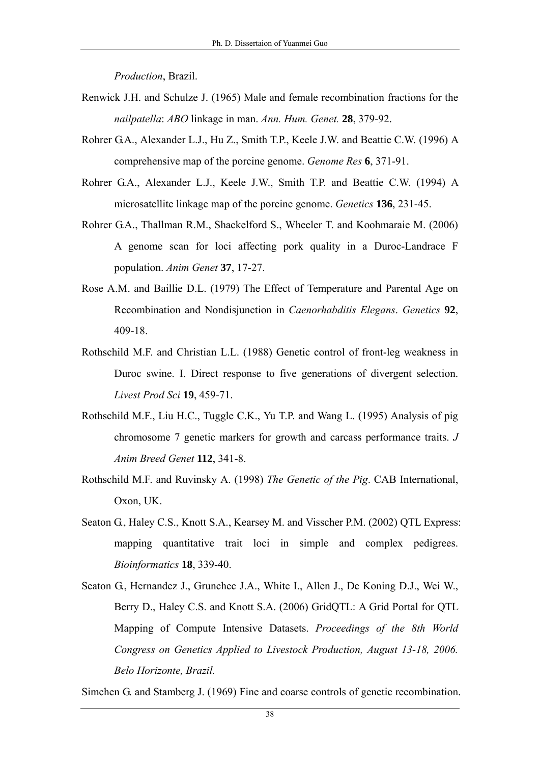*Production*, Brazil.

- Renwick J.H. and Schulze J. (1965) Male and female recombination fractions for the *nailpatella*: *ABO* linkage in man. *Ann. Hum. Genet.* **28**, 379-92.
- Rohrer G.A., Alexander L.J., Hu Z., Smith T.P., Keele J.W. and Beattie C.W. (1996) A comprehensive map of the porcine genome. *Genome Res* **6**, 371-91.
- Rohrer G.A., Alexander L.J., Keele J.W., Smith T.P. and Beattie C.W. (1994) A microsatellite linkage map of the porcine genome. *Genetics* **136**, 231-45.
- Rohrer G.A., Thallman R.M., Shackelford S., Wheeler T. and Koohmaraie M. (2006) A genome scan for loci affecting pork quality in a Duroc-Landrace F population. *Anim Genet* **37**, 17-27.
- Rose A.M. and Baillie D.L. (1979) The Effect of Temperature and Parental Age on Recombination and Nondisjunction in *Caenorhabditis Elegans*. *Genetics* **92**, 409-18.
- Rothschild M.F. and Christian L.L. (1988) Genetic control of front-leg weakness in Duroc swine. I. Direct response to five generations of divergent selection. *Livest Prod Sci* **19**, 459-71.
- Rothschild M.F., Liu H.C., Tuggle C.K., Yu T.P. and Wang L. (1995) Analysis of pig chromosome 7 genetic markers for growth and carcass performance traits. *J Anim Breed Genet* **112**, 341-8.
- Rothschild M.F. and Ruvinsky A. (1998) *The Genetic of the Pig*. CAB International, Oxon, UK.
- Seaton G., Haley C.S., Knott S.A., Kearsey M. and Visscher P.M. (2002) QTL Express: mapping quantitative trait loci in simple and complex pedigrees. *Bioinformatics* **18**, 339-40.
- Seaton G., Hernandez J., Grunchec J.A., White I., Allen J., De Koning D.J., Wei W., Berry D., Haley C.S. and Knott S.A. (2006) GridQTL: A Grid Portal for QTL Mapping of Compute Intensive Datasets. *Proceedings of the 8th World Congress on Genetics Applied to Livestock Production, August 13-18, 2006. Belo Horizonte, Brazil.*

Simchen G. and Stamberg J. (1969) Fine and coarse controls of genetic recombination.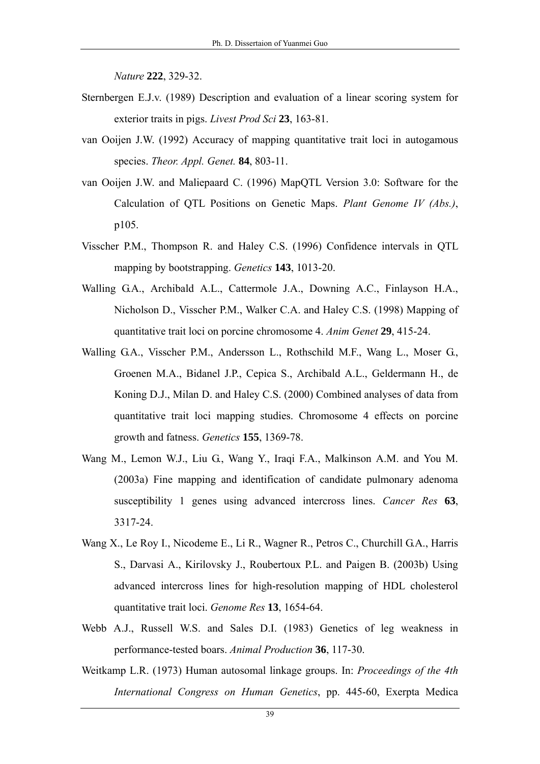*Nature* **222**, 329-32.

- Sternbergen E.J.v. (1989) Description and evaluation of a linear scoring system for exterior traits in pigs. *Livest Prod Sci* **23**, 163-81.
- van Ooijen J.W. (1992) Accuracy of mapping quantitative trait loci in autogamous species. *Theor. Appl. Genet.* **84**, 803-11.
- van Ooijen J.W. and Maliepaard C. (1996) MapQTL Version 3.0: Software for the Calculation of QTL Positions on Genetic Maps. *Plant Genome IV (Abs.)*, p105.
- Visscher P.M., Thompson R. and Haley C.S. (1996) Confidence intervals in QTL mapping by bootstrapping. *Genetics* **143**, 1013-20.
- Walling G.A., Archibald A.L., Cattermole J.A., Downing A.C., Finlayson H.A., Nicholson D., Visscher P.M., Walker C.A. and Haley C.S. (1998) Mapping of quantitative trait loci on porcine chromosome 4. *Anim Genet* **29**, 415-24.
- Walling G.A., Visscher P.M., Andersson L., Rothschild M.F., Wang L., Moser G., Groenen M.A., Bidanel J.P., Cepica S., Archibald A.L., Geldermann H., de Koning D.J., Milan D. and Haley C.S. (2000) Combined analyses of data from quantitative trait loci mapping studies. Chromosome 4 effects on porcine growth and fatness. *Genetics* **155**, 1369-78.
- Wang M., Lemon W.J., Liu G., Wang Y., Iraqi F.A., Malkinson A.M. and You M. (2003a) Fine mapping and identification of candidate pulmonary adenoma susceptibility 1 genes using advanced intercross lines. *Cancer Res* **63**, 3317-24.
- Wang X., Le Roy I., Nicodeme E., Li R., Wagner R., Petros C., Churchill G.A., Harris S., Darvasi A., Kirilovsky J., Roubertoux P.L. and Paigen B. (2003b) Using advanced intercross lines for high-resolution mapping of HDL cholesterol quantitative trait loci. *Genome Res* **13**, 1654-64.
- Webb A.J., Russell W.S. and Sales D.I. (1983) Genetics of leg weakness in performance-tested boars. *Animal Production* **36**, 117-30.
- Weitkamp L.R. (1973) Human autosomal linkage groups. In: *Proceedings of the 4th International Congress on Human Genetics*, pp. 445-60, Exerpta Medica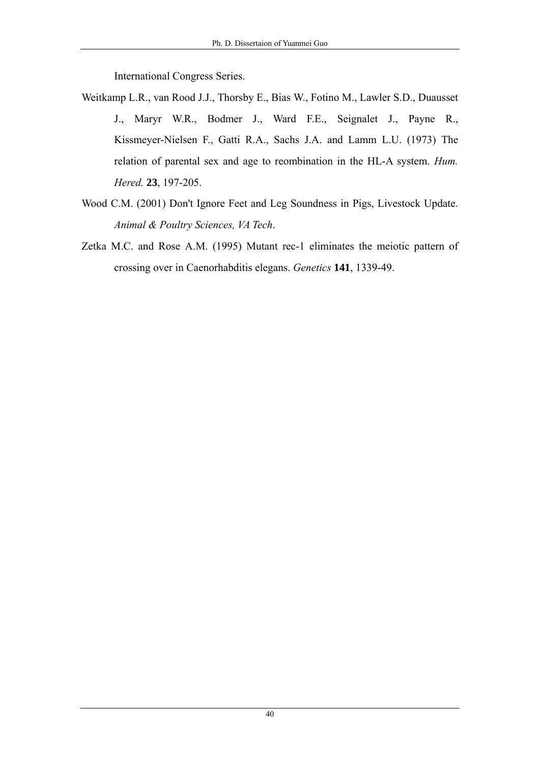International Congress Series.

- Weitkamp L.R., van Rood J.J., Thorsby E., Bias W., Fotino M., Lawler S.D., Duausset J., Maryr W.R., Bodmer J., Ward F.E., Seignalet J., Payne R., Kissmeyer-Nielsen F., Gatti R.A., Sachs J.A. and Lamm L.U. (1973) The relation of parental sex and age to reombination in the HL-A system. *Hum. Hered.* **23**, 197-205.
- Wood C.M. (2001) Don't Ignore Feet and Leg Soundness in Pigs, Livestock Update. *Animal & Poultry Sciences, VA Tech*.
- Zetka M.C. and Rose A.M. (1995) Mutant rec-1 eliminates the meiotic pattern of crossing over in Caenorhabditis elegans. *Genetics* **141**, 1339-49.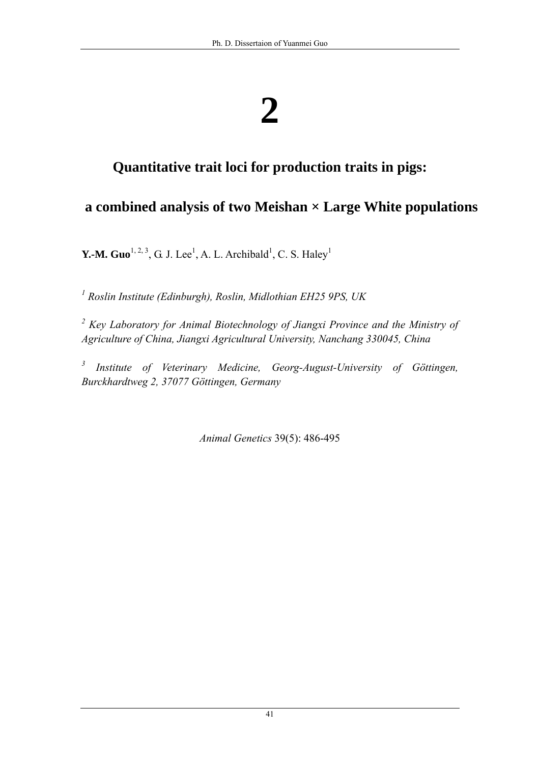# **Quantitative trait loci for production traits in pigs:**

# **a combined analysis of two Meishan × Large White populations**

**Y.-M. Guo**<sup>1, 2, 3</sup>, G. J. Lee<sup>1</sup>, A. L. Archibald<sup>1</sup>, C. S. Haley<sup>1</sup>

*1 Roslin Institute (Edinburgh), Roslin, Midlothian EH25 9PS, UK* 

<sup>2</sup> Key Laboratory for Animal Biotechnology of Jiangxi Province and the Ministry of *Agriculture of China, Jiangxi Agricultural University, Nanchang 330045, China* 

<sup>3</sup> Institute of Veterinary Medicine, Georg-August-University of Göttingen, *Burckhardtweg 2, 37077 Göttingen, Germany*

*Animal Genetics* 39(5): 486-495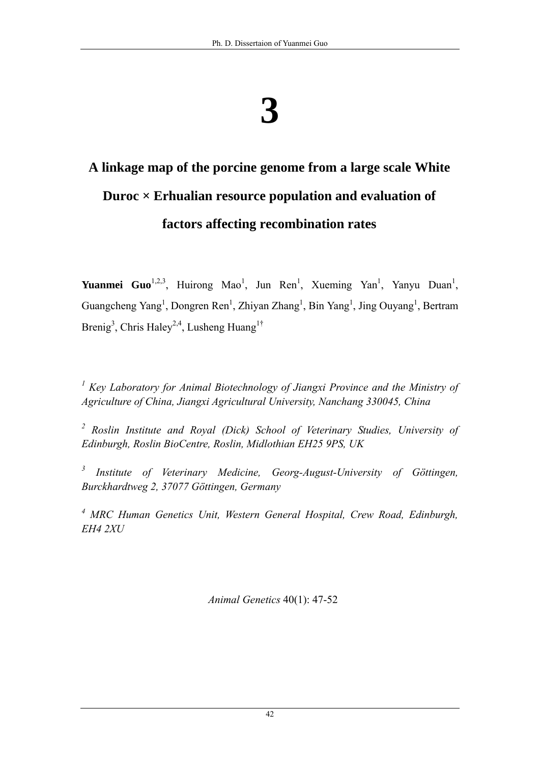# **A linkage map of the porcine genome from a large scale White Duroc × Erhualian resource population and evaluation of factors affecting recombination rates**

**Yuanmei Guo**<sup>1,2,3</sup>, Huirong Mao<sup>1</sup>, Jun Ren<sup>1</sup>, Xueming Yan<sup>1</sup>, Yanyu Duan<sup>1</sup>, Guangcheng Yang<sup>1</sup>, Dongren Ren<sup>1</sup>, Zhiyan Zhang<sup>1</sup>, Bin Yang<sup>1</sup>, Jing Ouyang<sup>1</sup>, Bertram Brenig<sup>3</sup>, Chris Haley<sup>2,4</sup>, Lusheng Huang<sup>1†</sup>

<sup>1</sup> Key Laboratory for Animal Biotechnology of Jiangxi Province and the Ministry of *Agriculture of China, Jiangxi Agricultural University, Nanchang 330045, China* 

<sup>2</sup> Roslin Institute and Royal (Dick) School of Veterinary Studies, University of *Edinburgh, Roslin BioCentre, Roslin, Midlothian EH25 9PS, UK* 

*3 Institute of Veterinary Medicine, Georg-August-University of Göttingen, Burckhardtweg 2, 37077 Göttingen, Germany* 

<sup>4</sup> MRC Human Genetics Unit, Western General Hospital, Crew Road, Edinburgh, *EH4 2XU* 

*Animal Genetics* 40(1): 47-52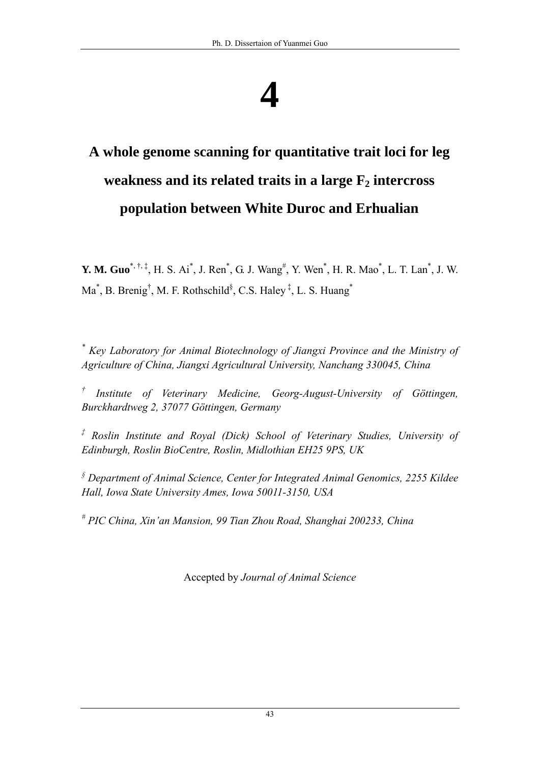# **A whole genome scanning for quantitative trait loci for leg**  weakness and its related traits in a large  $F_2$  intercross **population between White Duroc and Erhualian**

**Y. M. Guo**<sup>\*, †, ‡</sup>, H. S. Ai<sup>\*</sup>, J. Ren<sup>\*</sup>, G. J. Wang<sup>#</sup>, Y. Wen<sup>\*</sup>, H. R. Mao<sup>\*</sup>, L. T. Lan<sup>\*</sup>, J. W. Ma<sup>\*</sup>, B. Brenig<sup>†</sup>, M. F. Rothschild<sup>§</sup>, C.S. Haley<sup>‡</sup>, L. S. Huang<sup>\*</sup>

<sup>\*</sup> Key Laboratory for Animal Biotechnology of Jiangxi Province and the Ministry of *Agriculture of China, Jiangxi Agricultural University, Nanchang 330045, China* 

<sup>†</sup> Institute of Veterinary Medicine, Georg-August-University of Göttingen, *Burckhardtweg 2, 37077 Göttingen, Germany* 

*‡ Roslin Institute and Royal (Dick) School of Veterinary Studies, University of Edinburgh, Roslin BioCentre, Roslin, Midlothian EH25 9PS, UK* 

*§ Department of Animal Science, Center for Integrated Animal Genomics, 2255 Kildee Hall, Iowa State University Ames, Iowa 50011-3150, USA* 

*# PIC China, Xin'an Mansion, 99 Tian Zhou Road, Shanghai 200233, China* 

Accepted by *Journal of Animal Science*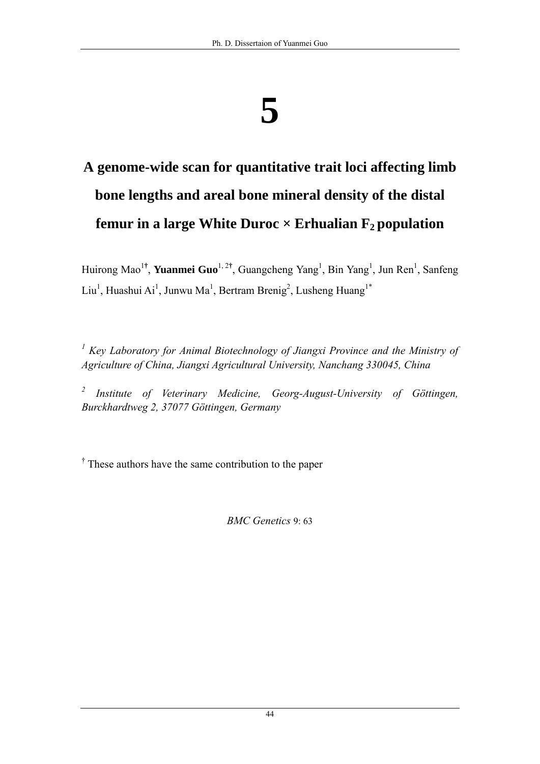# **A genome-wide scan for quantitative trait loci affecting limb bone lengths and areal bone mineral density of the distal femur in a large White Duroc**  $\times$  **Erhualian**  $F_2$  **population**

Huirong Mao<sup>1†</sup>, **Yuanmei Guo**<sup>1, 2†</sup>, Guangcheng Yang<sup>1</sup>, Bin Yang<sup>1</sup>, Jun Ren<sup>1</sup>, Sanfeng Liu<sup>1</sup>, Huashui Ai<sup>1</sup>, Junwu Ma<sup>1</sup>, Bertram Brenig<sup>2</sup>, Lusheng Huang<sup>1\*</sup>

<sup>1</sup> Key Laboratory for Animal Biotechnology of Jiangxi Province and the Ministry of *Agriculture of China, Jiangxi Agricultural University, Nanchang 330045, China* 

*2 Institute of Veterinary Medicine, Georg-August-University of Göttingen, Burckhardtweg 2, 37077 Göttingen, Germany* 

<sup>†</sup> These authors have the same contribution to the paper

*BMC Genetics* 9: 63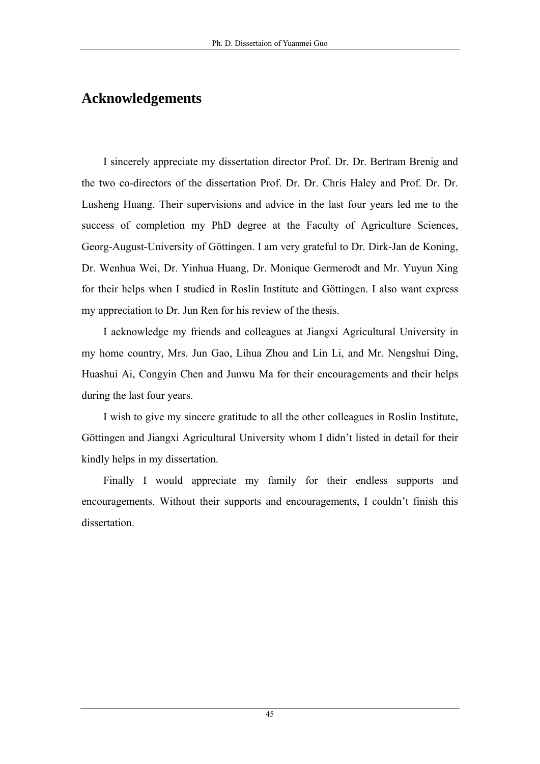# **Acknowledgements**

I sincerely appreciate my dissertation director Prof. Dr. Dr. Bertram Brenig and the two co-directors of the dissertation Prof. Dr. Dr. Chris Haley and Prof. Dr. Dr. Lusheng Huang. Their supervisions and advice in the last four years led me to the success of completion my PhD degree at the Faculty of Agriculture Sciences, Georg-August-University of Göttingen. I am very grateful to Dr. Dirk-Jan de Koning, Dr. Wenhua Wei, Dr. Yinhua Huang, Dr. Monique Germerodt and Mr. Yuyun Xing for their helps when I studied in Roslin Institute and Göttingen. I also want express my appreciation to Dr. Jun Ren for his review of the thesis.

I acknowledge my friends and colleagues at Jiangxi Agricultural University in my home country, Mrs. Jun Gao, Lihua Zhou and Lin Li, and Mr. Nengshui Ding, Huashui Ai, Congyin Chen and Junwu Ma for their encouragements and their helps during the last four years.

I wish to give my sincere gratitude to all the other colleagues in Roslin Institute, Göttingen and Jiangxi Agricultural University whom I didn't listed in detail for their kindly helps in my dissertation.

Finally I would appreciate my family for their endless supports and encouragements. Without their supports and encouragements, I couldn't finish this dissertation.

45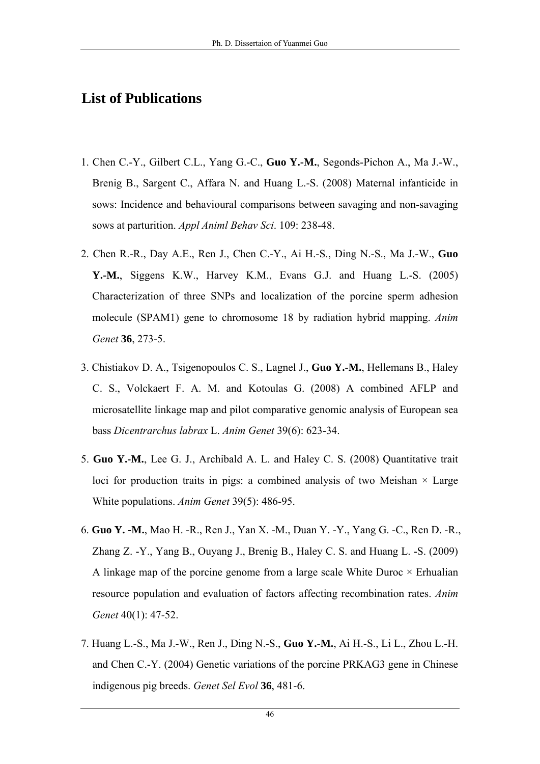# **List of Publications**

- 1. Chen C.-Y., Gilbert C.L., Yang G.-C., **Guo Y.-M.**, Segonds-Pichon A., Ma J.-W., Brenig B., Sargent C., Affara N. and Huang L.-S. (2008) Maternal infanticide in sows: Incidence and behavioural comparisons between savaging and non-savaging sows at parturition. *Appl Animl Behav Sci*. 109: 238-48.
- 2. Chen R.-R., Day A.E., Ren J., Chen C.-Y., Ai H.-S., Ding N.-S., Ma J.-W., **Guo Y.-M.**, Siggens K.W., Harvey K.M., Evans G.J. and Huang L.-S. (2005) Characterization of three SNPs and localization of the porcine sperm adhesion molecule (SPAM1) gene to chromosome 18 by radiation hybrid mapping. *Anim Genet* **36**, 273-5.
- 3. Chistiakov D. A., Tsigenopoulos C. S., Lagnel J., **Guo Y.-M.**, Hellemans B., Haley C. S., Volckaert F. A. M. and Kotoulas G. (2008) A combined AFLP and microsatellite linkage map and pilot comparative genomic analysis of European sea bass *Dicentrarchus labrax* L. *Anim Genet* 39(6): 623-34.
- 5. **Guo Y.-M.**, Lee G. J., Archibald A. L. and Haley C. S. (2008) Quantitative trait loci for production traits in pigs: a combined analysis of two Meishan  $\times$  Large White populations. *Anim Genet* 39(5): 486-95.
- 6. **Guo Y. -M.**, Mao H. -R., Ren J., Yan X. -M., Duan Y. -Y., Yang G. -C., Ren D. -R., Zhang Z. -Y., Yang B., Ouyang J., Brenig B., Haley C. S. and Huang L. -S. (2009) A linkage map of the porcine genome from a large scale White Duroc  $\times$  Erhualian resource population and evaluation of factors affecting recombination rates. *Anim Genet* 40(1): 47-52.
- 7. Huang L.-S., Ma J.-W., Ren J., Ding N.-S., **Guo Y.-M.**, Ai H.-S., Li L., Zhou L.-H. and Chen C.-Y. (2004) Genetic variations of the porcine PRKAG3 gene in Chinese indigenous pig breeds. *Genet Sel Evol* **36**, 481-6.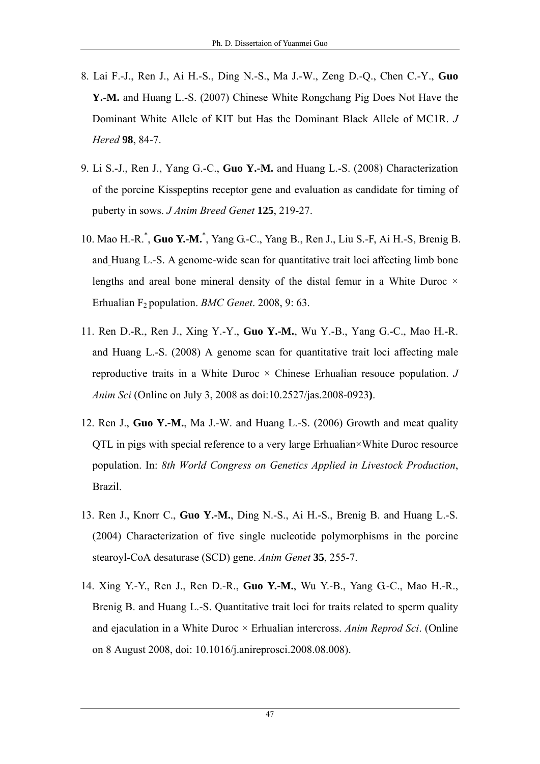- 8. Lai F.-J., Ren J., Ai H.-S., Ding N.-S., Ma J.-W., Zeng D.-Q., Chen C.-Y., **Guo Y.-M.** and Huang L.-S. (2007) Chinese White Rongchang Pig Does Not Have the Dominant White Allele of KIT but Has the Dominant Black Allele of MC1R. *J Hered* **98**, 84-7.
- 9. Li S.-J., Ren J., Yang G.-C., **Guo Y.-M.** and Huang L.-S. (2008) Characterization of the porcine Kisspeptins receptor gene and evaluation as candidate for timing of puberty in sows. *J Anim Breed Genet* **125**, 219-27.
- 10. Mao H.-R.\* , **Guo Y.-M.**\* , Yang G.-C., Yang B., Ren J., Liu S.-F, Ai H.-S, Brenig B. and Huang L.-S. A genome-wide scan for quantitative trait loci affecting limb bone lengths and areal bone mineral density of the distal femur in a White Duroc  $\times$ Erhualian F2 population. *BMC Genet*. 2008, 9: 63.
- 11. Ren D.-R., Ren J., Xing Y.-Y., **Guo Y.-M.**, Wu Y.-B., Yang G.-C., Mao H.-R. and Huang L.-S. (2008) A genome scan for quantitative trait loci affecting male reproductive traits in a White Duroc  $\times$  Chinese Erhualian resouce population. *J Anim Sci* (Online on July 3, 2008 as doi:10.2527/jas.2008-0923**)**.
- 12. Ren J., **Guo Y.-M.**, Ma J.-W. and Huang L.-S. (2006) Growth and meat quality QTL in pigs with special reference to a very large Erhualian×White Duroc resource population. In: *8th World Congress on Genetics Applied in Livestock Production*, Brazil.
- 13. Ren J., Knorr C., **Guo Y.-M.**, Ding N.-S., Ai H.-S., Brenig B. and Huang L.-S. (2004) Characterization of five single nucleotide polymorphisms in the porcine stearoyl-CoA desaturase (SCD) gene. *Anim Genet* **35**, 255-7.
- 14. Xing Y.-Y., Ren J., Ren D.-R., **Guo Y.-M.**, Wu Y.-B., Yang G.-C., Mao H.-R., Brenig B. and Huang L.-S. Quantitative trait loci for traits related to sperm quality and ejaculation in a White Duroc × Erhualian intercross. *Anim Reprod Sci*. (Online on 8 August 2008, doi: 10.1016/j.anireprosci.2008.08.008).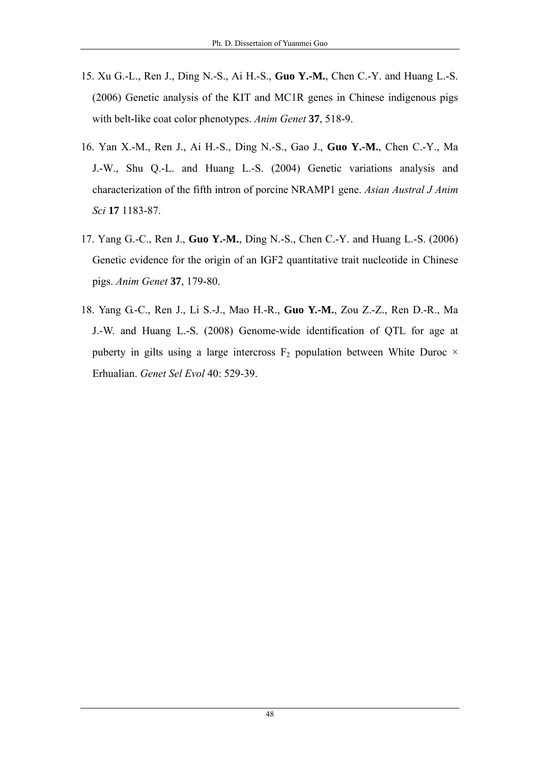- 15. Xu G.-L., Ren J., Ding N.-S., Ai H.-S., **Guo Y.-M.**, Chen C.-Y. and Huang L.-S. (2006) Genetic analysis of the KIT and MC1R genes in Chinese indigenous pigs with belt-like coat color phenotypes. *Anim Genet* **37**, 518-9.
- 16. Yan X.-M., Ren J., Ai H.-S., Ding N.-S., Gao J., **Guo Y.-M.**, Chen C.-Y., Ma J.-W., Shu Q.-L. and Huang L.-S. (2004) Genetic variations analysis and characterization of the fifth intron of porcine NRAMP1 gene. *Asian Austral J Anim Sci* **17** 1183-87.
- 17. Yang G.-C., Ren J., **Guo Y.-M.**, Ding N.-S., Chen C.-Y. and Huang L.-S. (2006) Genetic evidence for the origin of an IGF2 quantitative trait nucleotide in Chinese pigs. *Anim Genet* **37**, 179-80.
- 18. Yang G.-C., Ren J., Li S.-J., Mao H.-R., **Guo Y.-M.**, Zou Z.-Z., Ren D.-R., Ma J.-W. and Huang L.-S. (2008) Genome-wide identification of QTL for age at puberty in gilts using a large intercross  $F_2$  population between White Duroc  $\times$ Erhualian. *Genet Sel Evol* 40: 529-39.